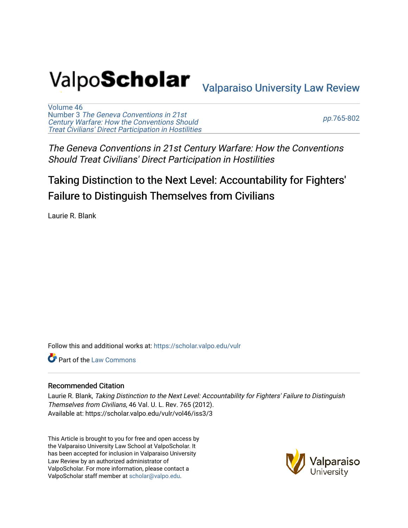# Valpo**Scholar** <sub>Valparaiso University Law Review</sub>

[Volume 46](https://scholar.valpo.edu/vulr/vol46) Number 3 [The Geneva Conventions in 21st](https://scholar.valpo.edu/vulr/vol46/iss3)  [Century Warfare: How the Conventions Should](https://scholar.valpo.edu/vulr/vol46/iss3) [Treat Civilians' Direct Participation in Hostilities](https://scholar.valpo.edu/vulr/vol46/iss3)

pp.[765-802](https://scholar.valpo.edu/vulr/vol46/iss3/3) 

The Geneva Conventions in 21st Century Warfare: How the Conventions Should Treat Civilians' Direct Participation in Hostilities

## Taking Distinction to the Next Level: Accountability for Fighters' Failure to Distinguish Themselves from Civilians

Laurie R. Blank

Follow this and additional works at: [https://scholar.valpo.edu/vulr](https://scholar.valpo.edu/vulr?utm_source=scholar.valpo.edu%2Fvulr%2Fvol46%2Fiss3%2F3&utm_medium=PDF&utm_campaign=PDFCoverPages)

**C** Part of the [Law Commons](http://network.bepress.com/hgg/discipline/578?utm_source=scholar.valpo.edu%2Fvulr%2Fvol46%2Fiss3%2F3&utm_medium=PDF&utm_campaign=PDFCoverPages)

#### Recommended Citation

Laurie R. Blank, Taking Distinction to the Next Level: Accountability for Fighters' Failure to Distinguish Themselves from Civilians, 46 Val. U. L. Rev. 765 (2012). Available at: https://scholar.valpo.edu/vulr/vol46/iss3/3

This Article is brought to you for free and open access by the Valparaiso University Law School at ValpoScholar. It has been accepted for inclusion in Valparaiso University Law Review by an authorized administrator of ValpoScholar. For more information, please contact a ValpoScholar staff member at [scholar@valpo.edu](mailto:scholar@valpo.edu).

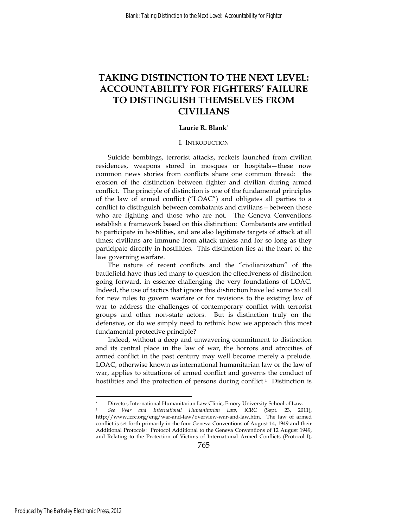### **TAKING DISTINCTION TO THE NEXT LEVEL: ACCOUNTABILITY FOR FIGHTERS' FAILURE TO DISTINGUISH THEMSELVES FROM CIVILIANS**

#### **Laurie R. Blank\***

#### I. INTRODUCTION

Suicide bombings, terrorist attacks, rockets launched from civilian residences, weapons stored in mosques or hospitals—these now common news stories from conflicts share one common thread: the erosion of the distinction between fighter and civilian during armed conflict. The principle of distinction is one of the fundamental principles of the law of armed conflict ("LOAC") and obligates all parties to a conflict to distinguish between combatants and civilians—between those who are fighting and those who are not. The Geneva Conventions establish a framework based on this distinction: Combatants are entitled to participate in hostilities, and are also legitimate targets of attack at all times; civilians are immune from attack unless and for so long as they participate directly in hostilities. This distinction lies at the heart of the law governing warfare.

The nature of recent conflicts and the "civilianization" of the battlefield have thus led many to question the effectiveness of distinction going forward, in essence challenging the very foundations of LOAC. Indeed, the use of tactics that ignore this distinction have led some to call for new rules to govern warfare or for revisions to the existing law of war to address the challenges of contemporary conflict with terrorist groups and other non-state actors. But is distinction truly on the defensive, or do we simply need to rethink how we approach this most fundamental protective principle?

Indeed, without a deep and unwavering commitment to distinction and its central place in the law of war, the horrors and atrocities of armed conflict in the past century may well become merely a prelude. LOAC, otherwise known as international humanitarian law or the law of war, applies to situations of armed conflict and governs the conduct of hostilities and the protection of persons during conflict.<sup>1</sup> Distinction is

<sup>\*</sup> Director, International Humanitarian Law Clinic, Emory University School of Law. 1 *See War and International Humanitarian Law*, ICRC (Sept. 23, 2011),

http://www.icrc.org/eng/war-and-law/overview-war-and-law.htm. The law of armed conflict is set forth primarily in the four Geneva Conventions of August 14, 1949 and their Additional Protocols: Protocol Additional to the Geneva Conventions of 12 August 1949, and Relating to the Protection of Victims of International Armed Conflicts (Protocol I),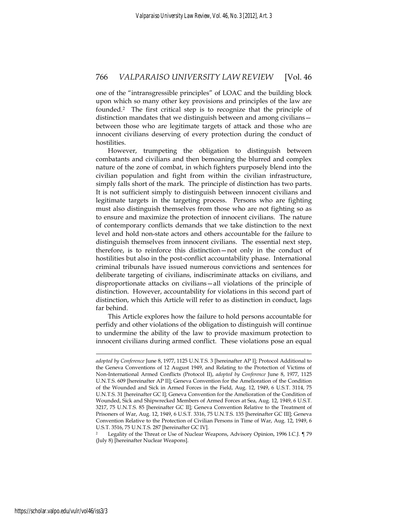one of the "intransgressible principles" of LOAC and the building block upon which so many other key provisions and principles of the law are founded.2 The first critical step is to recognize that the principle of distinction mandates that we distinguish between and among civilians between those who are legitimate targets of attack and those who are innocent civilians deserving of every protection during the conduct of hostilities.

However, trumpeting the obligation to distinguish between combatants and civilians and then bemoaning the blurred and complex nature of the zone of combat, in which fighters purposely blend into the civilian population and fight from within the civilian infrastructure, simply falls short of the mark. The principle of distinction has two parts. It is not sufficient simply to distinguish between innocent civilians and legitimate targets in the targeting process. Persons who are fighting must also distinguish themselves from those who are not fighting so as to ensure and maximize the protection of innocent civilians. The nature of contemporary conflicts demands that we take distinction to the next level and hold non-state actors and others accountable for the failure to distinguish themselves from innocent civilians. The essential next step, therefore, is to reinforce this distinction—not only in the conduct of hostilities but also in the post-conflict accountability phase. International criminal tribunals have issued numerous convictions and sentences for deliberate targeting of civilians, indiscriminate attacks on civilians, and disproportionate attacks on civilians—all violations of the principle of distinction. However, accountability for violations in this second part of distinction, which this Article will refer to as distinction in conduct, lags far behind.

This Article explores how the failure to hold persons accountable for perfidy and other violations of the obligation to distinguish will continue to undermine the ability of the law to provide maximum protection to innocent civilians during armed conflict. These violations pose an equal

*adopted by Conference* June 8, 1977, 1125 U.N.T.S. 3 [hereinafter AP I]; Protocol Additional to the Geneva Conventions of 12 August 1949, and Relating to the Protection of Victims of Non-International Armed Conflicts (Protocol II), *adopted by Conference* June 8, 1977, 1125 U.N.T.S. 609 [hereinafter AP II]; Geneva Convention for the Amelioration of the Condition of the Wounded and Sick in Armed Forces in the Field, Aug. 12, 1949, 6 U.S.T. 3114, 75 U.N.T.S. 31 [hereinafter GC I]; Geneva Convention for the Amelioration of the Condition of Wounded, Sick and Shipwrecked Members of Armed Forces at Sea, Aug. 12, 1949, 6 U.S.T. 3217, 75 U.N.T.S. 85 [hereinafter GC II]; Geneva Convention Relative to the Treatment of Prisoners of War, Aug. 12, 1949, 6 U.S.T. 3316, 75 U.N.T.S. 135 [hereinafter GC III]; Geneva Convention Relative to the Protection of Civilian Persons in Time of War, Aug. 12, 1949, 6 U.S.T. 3516, 75 U.N.T.S. 287 [hereinafter GC IV].

<sup>2</sup> Legality of the Threat or Use of Nuclear Weapons, Advisory Opinion, 1996 I.C.J. ¶ 79 (July 8) [hereinafter Nuclear Weapons].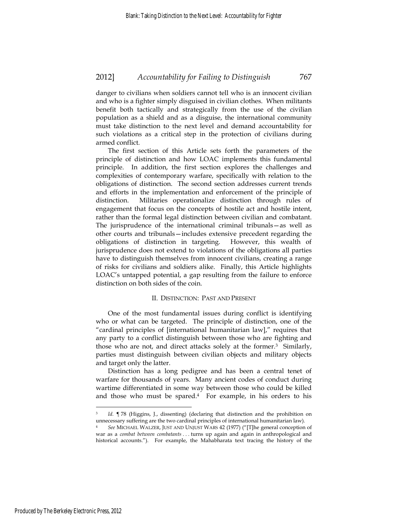danger to civilians when soldiers cannot tell who is an innocent civilian and who is a fighter simply disguised in civilian clothes. When militants benefit both tactically and strategically from the use of the civilian population as a shield and as a disguise, the international community must take distinction to the next level and demand accountability for such violations as a critical step in the protection of civilians during armed conflict.

The first section of this Article sets forth the parameters of the principle of distinction and how LOAC implements this fundamental principle. In addition, the first section explores the challenges and complexities of contemporary warfare, specifically with relation to the obligations of distinction. The second section addresses current trends and efforts in the implementation and enforcement of the principle of distinction. Militaries operationalize distinction through rules of engagement that focus on the concepts of hostile act and hostile intent, rather than the formal legal distinction between civilian and combatant. The jurisprudence of the international criminal tribunals—as well as other courts and tribunals—includes extensive precedent regarding the obligations of distinction in targeting. However, this wealth of jurisprudence does not extend to violations of the obligations all parties have to distinguish themselves from innocent civilians, creating a range of risks for civilians and soldiers alike. Finally, this Article highlights LOAC's untapped potential, a gap resulting from the failure to enforce distinction on both sides of the coin.

#### II. DISTINCTION: PAST AND PRESENT

One of the most fundamental issues during conflict is identifying who or what can be targeted. The principle of distinction, one of the "cardinal principles of [international humanitarian law]," requires that any party to a conflict distinguish between those who are fighting and those who are not, and direct attacks solely at the former.3 Similarly, parties must distinguish between civilian objects and military objects and target only the latter.

Distinction has a long pedigree and has been a central tenet of warfare for thousands of years. Many ancient codes of conduct during wartime differentiated in some way between those who could be killed and those who must be spared.4 For example, in his orders to his

Id. ¶ 78 (Higgins, J., dissenting) (declaring that distinction and the prohibition on unnecessary suffering are the two cardinal principles of international humanitarian law).

<sup>4</sup> *See* MICHAEL WALZER, JUST AND UNJUST WARS 42 (1977) ("[T]he general conception of war as a *combat between combatants* . . . turns up again and again in anthropological and historical accounts."). For example, the Mahabharata text tracing the history of the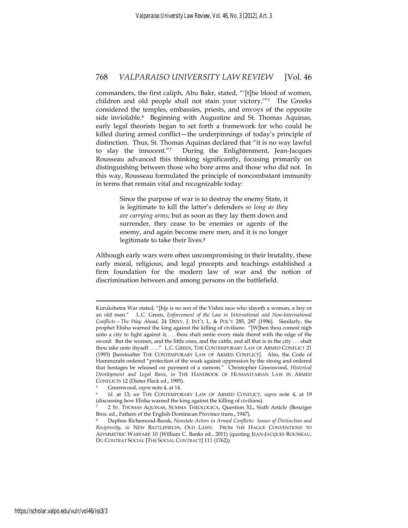commanders, the first caliph, Abu Bakr, stated, "'[t]he blood of women, children and old people shall not stain your victory.'"5 The Greeks considered the temples, embassies, priests, and envoys of the opposite side inviolable.<sup>6</sup> Beginning with Augustine and St. Thomas Aquinas, early legal theorists began to set forth a framework for who could be killed during armed conflict—the underpinnings of today's principle of distinction. Thus, St. Thomas Aquinas declared that "it is no way lawful to slay the innocent."7 During the Enlightenment, Jean-Jacques Rousseau advanced this thinking significantly, focusing primarily on distinguishing between those who bore arms and those who did not. In this way, Rousseau formulated the principle of noncombatant immunity in terms that remain vital and recognizable today:

> Since the purpose of war is to destroy the enemy State, it is legitimate to kill the latter's defenders *so long as they are carrying arms*; but as soon as they lay them down and surrender, they cease to be enemies or agents of the enemy, and again become mere men, and it is no longer legitimate to take their lives.<sup>8</sup>

Although early wars were often uncompromising in their brutality, these early moral, religious, and legal precepts and teachings established a firm foundation for the modern law of war and the notion of discrimination between and among persons on the battlefield.

Kurukshetra War stated, "[h]e is no son of the Vishni race who slayeth a woman, a boy or an old man." L.C. Green, *Enforcement of the Law in International and Non-International Conflicts—The Way Ahead*, 24 DENV. J. INT'L L. & POL'Y 285, 287 (1996). Similarly, the prophet Elisha warned the king against the killing of civilians: "[W]hen thou comest nigh unto a city to fight against it, . . . thou shalt smite every male therof with the edge of the sword: But the women, and the little ones, and the cattle, and all that is in the city . . . shalt thou take unto thyself . . . ." L.C. GREEN, THE CONTEMPORARY LAW OF ARMED CONFLICT 21 (1993) [hereinafter THE CONTEMPORARY LAW OF ARMED CONFLICT]. Also, the Code of Hammurabi ordered "protection of the weak against oppression by the strong and ordered that hostages be released on payment of a ransom." Christopher Greenwood, *Historical Development and Legal Basis*, *in* THE HANDBOOK OF HUMANITARIAN LAW IN ARMED CONFLICTS 12 (Dieter Fleck ed., 1995). 5 Greenwood, *supra* note 4, at 14. 6 *Id*. at 13; *see* THE CONTEMPORARY LAW OF ARMED CONFLICT, *supra* note 4, at 19

<sup>(</sup>discussing how Elisha warned the king against the killing of civilians).

<sup>7 2</sup> ST. THOMAS AQUINAS, SUMMA THEOLOGICA, Question XL, Sixth Article (Benziger Bros. ed., Fathers of the English Dominican Province trans., 1947).

<sup>8</sup> Daphne Richemond-Barak, *Nonstate Actors in Armed Conflicts: Issues of Distinction and Reciprocity*, *in* NEW BATTLEFIELDS, OLD LAWS: FROM THE HAGUE CONVENTIONS TO ASYMMETRIC WARFARE 10 (William C. Banks ed., 2011) (quoting JEAN-JACQUES ROUSSEAU, DU CONTRAT SOCIAL [THE SOCIAL CONTRACT] 111 (1762)).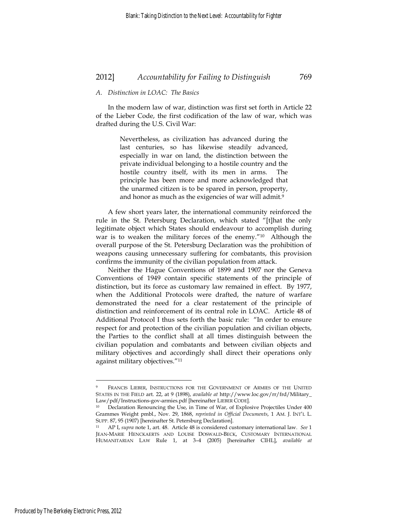#### *A. Distinction in LOAC: The Basics*

In the modern law of war, distinction was first set forth in Article 22 of the Lieber Code, the first codification of the law of war, which was drafted during the U.S. Civil War:

> Nevertheless, as civilization has advanced during the last centuries, so has likewise steadily advanced, especially in war on land, the distinction between the private individual belonging to a hostile country and the hostile country itself, with its men in arms. The principle has been more and more acknowledged that the unarmed citizen is to be spared in person, property, and honor as much as the exigencies of war will admit.<sup>9</sup>

A few short years later, the international community reinforced the rule in the St. Petersburg Declaration, which stated "[t]hat the only legitimate object which States should endeavour to accomplish during war is to weaken the military forces of the enemy."10 Although the overall purpose of the St. Petersburg Declaration was the prohibition of weapons causing unnecessary suffering for combatants, this provision confirms the immunity of the civilian population from attack.

Neither the Hague Conventions of 1899 and 1907 nor the Geneva Conventions of 1949 contain specific statements of the principle of distinction, but its force as customary law remained in effect. By 1977, when the Additional Protocols were drafted, the nature of warfare demonstrated the need for a clear restatement of the principle of distinction and reinforcement of its central role in LOAC. Article 48 of Additional Protocol I thus sets forth the basic rule: "In order to ensure respect for and protection of the civilian population and civilian objects, the Parties to the conflict shall at all times distinguish between the civilian population and combatants and between civilian objects and military objectives and accordingly shall direct their operations only against military objectives."11

<sup>9</sup> FRANCIS LIEBER, INSTRUCTIONS FOR THE GOVERNMENT OF ARMIES OF THE UNITED STATES IN THE FIELD art. 22, at 9 (1898), *available at* http://www.loc.gov/rr/frd/Military\_ Law/pdf/Instructions-gov-armies.pdf [hereinafter LIEBER CODE]. 10 Declaration Renouncing the Use, in Time of War, of Explosive Projectiles Under 400

Grammes Weight pmbl., Nov. 29, 1868, *reprinted in Official Documents*, 1 AM. J. INT'L L. SUPP. 87, 95 (1907) [hereinafter St. Petersburg Declaration]. 11 AP I, *supra* note 1, art. 48. Article 48 is considered customary international law. *See*<sup>1</sup>

JEAN-MARIE HENCKAERTS AND LOUISE DOSWALD-BECK, CUSTOMARY INTERNATIONAL HUMANITARIAN LAW Rule 1, at 3–4 (2005) [hereinafter CIHL], *available at*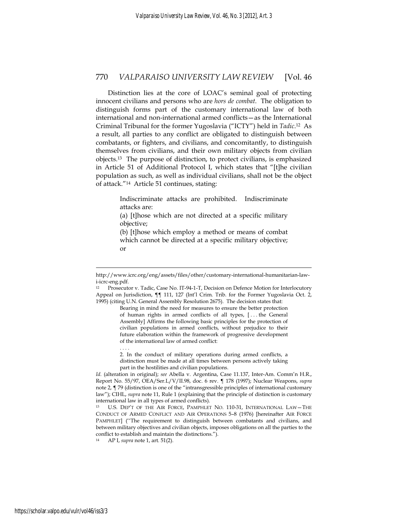Distinction lies at the core of LOAC's seminal goal of protecting innocent civilians and persons who are *hors de combat*. The obligation to distinguish forms part of the customary international law of both international and non-international armed conflicts—as the International Criminal Tribunal for the former Yugoslavia ("ICTY") held in *Tadic*.12 As a result, all parties to any conflict are obligated to distinguish between combatants, or fighters, and civilians, and concomitantly, to distinguish themselves from civilians, and their own military objects from civilian objects.13 The purpose of distinction, to protect civilians, is emphasized in Article 51 of Additional Protocol I, which states that "[t]he civilian population as such, as well as individual civilians, shall not be the object of attack."14 Article 51 continues, stating:

> Indiscriminate attacks are prohibited. Indiscriminate attacks are:

> (a) [t]hose which are not directed at a specific military objective;

> (b) [t]hose which employ a method or means of combat which cannot be directed at a specific military objective; or

Bearing in mind the need for measures to ensure the better protection of human rights in armed conflicts of all types, [ . . . the General Assembly] Affirms the following basic principles for the protection of civilian populations in armed conflicts, without prejudice to their future elaboration within the framework of progressive development of the international law of armed conflict:

2. In the conduct of military operations during armed conflicts, a distinction must be made at all times between persons actively taking part in the hostilities and civilian populations.

14 AP I, *supra* note 1, art. 51(2).

. . . .

<u>.</u>

http://www.icrc.org/eng/assets/files/other/customary-international-humanitarian-lawi-icrc-eng.pdf.

<sup>12</sup> Prosecutor v. Tadic, Case No. IT-94-1-T, Decision on Defence Motion for Interlocutory Appeal on Jurisdiction, ¶¶ 111, 127 (Int'l Crim. Trib. for the Former Yugoslavia Oct. 2, 1995) (citing U.N. General Assembly Resolution 2675). The decision states that:

*Id.* (alteration in original); *see* Abella v. Argentina, Case 11.137, Inter-Am. Comm'n H.R., Report No. 55/97, OEA/Ser.L/V/II.98, doc. 6 rev. ¶ 178 (1997); Nuclear Weapons, *supra* note 2, ¶ 79 (distinction is one of the "intransgressible principles of international customary law"); CIHL, *supra* note 11, Rule 1 (explaining that the principle of distinction is customary international law in all types of armed conflicts).

<sup>13</sup> U.S. DEP'T OF THE AIR FORCE, PAMPHLET NO. 110-31, INTERNATIONAL LAW—THE CONDUCT OF ARMED CONFLICT AND AIR OPERATIONS 5–8 (1976) [hereinafter AIR FORCE PAMPHLET] (''The requirement to distinguish between combatants and civilians, and between military objectives and civilian objects, imposes obligations on all the parties to the conflict to establish and maintain the distinctions.").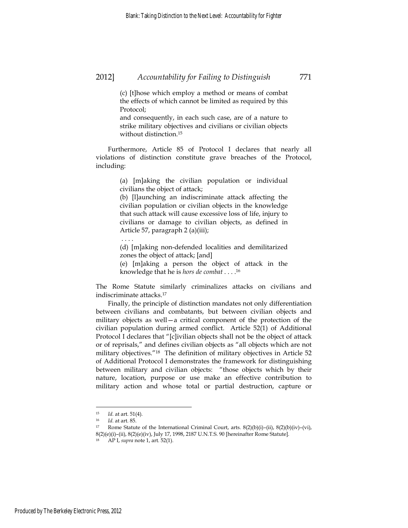(c) [t]hose which employ a method or means of combat the effects of which cannot be limited as required by this Protocol;

and consequently, in each such case, are of a nature to strike military objectives and civilians or civilian objects without distinction.15

Furthermore, Article 85 of Protocol I declares that nearly all violations of distinction constitute grave breaches of the Protocol, including:

> (a) [m]aking the civilian population or individual civilians the object of attack;

> (b) [l]aunching an indiscriminate attack affecting the civilian population or civilian objects in the knowledge that such attack will cause excessive loss of life, injury to civilians or damage to civilian objects, as defined in Article 57, paragraph 2 (a)(iii);

> (d) [m]aking non-defended localities and demilitarized zones the object of attack; [and]

> (e) [m]aking a person the object of attack in the knowledge that he is *hors de combat* . . . .16

The Rome Statute similarly criminalizes attacks on civilians and indiscriminate attacks.17

Finally, the principle of distinction mandates not only differentiation between civilians and combatants, but between civilian objects and military objects as well—a critical component of the protection of the civilian population during armed conflict. Article 52(1) of Additional Protocol I declares that "[c]ivilian objects shall not be the object of attack or of reprisals," and defines civilian objects as "all objects which are not military objectives."18 The definition of military objectives in Article 52 of Additional Protocol I demonstrates the framework for distinguishing between military and civilian objects: "those objects which by their nature, location, purpose or use make an effective contribution to military action and whose total or partial destruction, capture or

. . . .

<sup>15</sup> *Id.* at art. 51(4).<br>
16 *Id.* at art. 85.<br>
17 Rome Statute of the International Criminal Court, arts. 8(2)(b)(i)–(ii), 8(2)(b)(iv)–(vi), 8(2)(e)(i)–(ii), 8(2)(e)(iv), July 17, 1998, 2187 U.N.T.S. 90 [hereinafter Rome Statute].

<sup>18</sup> AP I, *supra* note 1, art. 52(1).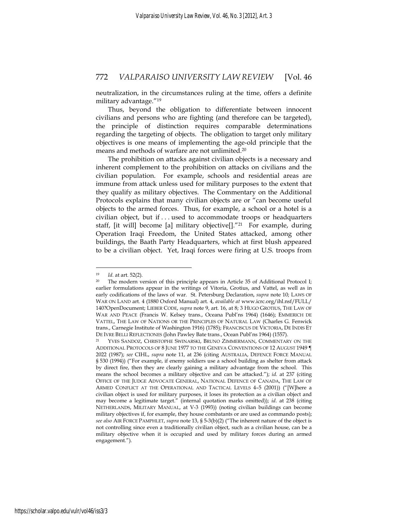neutralization, in the circumstances ruling at the time, offers a definite military advantage."19

Thus, beyond the obligation to differentiate between innocent civilians and persons who are fighting (and therefore can be targeted), the principle of distinction requires comparable determinations regarding the targeting of objects. The obligation to target only military objectives is one means of implementing the age-old principle that the means and methods of warfare are not unlimited.20

The prohibition on attacks against civilian objects is a necessary and inherent complement to the prohibition on attacks on civilians and the civilian population. For example, schools and residential areas are immune from attack unless used for military purposes to the extent that they qualify as military objectives. The Commentary on the Additional Protocols explains that many civilian objects are or "can become useful objects to the armed forces. Thus, for example, a school or a hotel is a civilian object, but if . . . used to accommodate troops or headquarters staff, [it will] become [a] military objective[]."21 For example, during Operation Iraqi Freedom, the United States attacked, among other buildings, the Baath Party Headquarters, which at first blush appeared to be a civilian object. Yet, Iraqi forces were firing at U.S. troops from

<u>.</u>

<sup>&</sup>lt;sup>19</sup> *Id.* at art. 52(2).<br><sup>20</sup> The modern version of this principle appears in Article 35 of Additional Protocol I; earlier formulations appear in the writings of Vitoria, Grotius, and Vattel, as well as in early codifications of the laws of war. St. Petersburg Declaration, *supra* note 10; LAWS OF WAR ON LAND art. 4 (1880 Oxford Manual) art. 4, *available at* www.icrc.org/ihl.nsf/FULL/ 140?OpenDocument; LIEBER CODE, *supra* note 9, art. 16, at 8; 3 HUGO GROTIUS, THE LAW OF WAR AND PEACE (Francis W. Kelsey trans., Oceana Publ'ns 1964) (1646); EMMERICH DE VATTEL, THE LAW OF NATIONS OR THE PRINCIPLES OF NATURAL LAW (Charles G. Fenwick trans., Carnegie Institute of Washington 1916) (1785); FRANCISCUS DE VICTORIA, DE INDIS ET

DE IVRE BELLI REFLECTIONES (John Pawley Bate trans., Ocean Publ'ns 1964) (1557).<br><sup>21</sup> YVES SANDOZ, CHRISTOPHE SWINARSKI, BRUNO ZIMMERMANN, COMMENTARY ON THE ADDITIONAL PROTOCOLS OF 8 JUNE 1977 TO THE GENEVA CONVENTIONS OF 12 AUGUST 1949 ¶ 2022 (1987); *see* CIHL, *supra* note 11, at 236 (citing AUSTRALIA, DEFENCE FORCE MANUAL § 530 (1994)) ("For example, if enemy soldiers use a school building as shelter from attack by direct fire, then they are clearly gaining a military advantage from the school. This means the school becomes a military objective and can be attacked."); *id.* at 237 (citing OFFICE OF THE JUDGE ADVOCATE GENERAL, NATIONAL DEFENCE OF CANADA, THE LAW OF ARMED CONFLICT AT THE OPERATIONAL AND TACTICAL LEVELS 4–5 (2001)) ("[W]here a civilian object is used for military purposes, it loses its protection as a civilian object and may become a legitimate target." (internal quotation marks omitted)); *id*. at 238 (citing NETHERLANDS, MILITARY MANUAL, at V-3 (1993)) (noting civilian buildings can become military objectives if, for example, they house combatants or are used as commando posts); *see also* AIR FORCE PAMPHLET, *supra* note 13, § 5-3(b)(2) ("The inherent nature of the object is not controlling since even a traditionally civilian object, such as a civilian house, can be a military objective when it is occupied and used by military forces during an armed engagement.").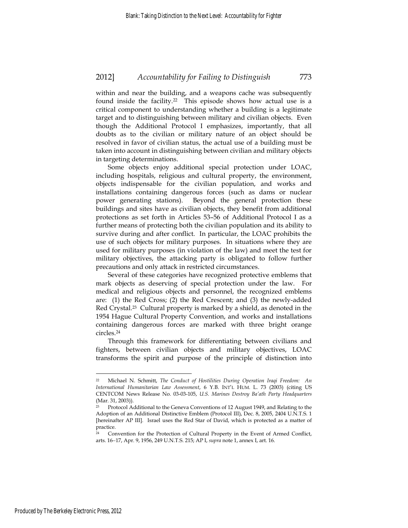within and near the building, and a weapons cache was subsequently found inside the facility.22 This episode shows how actual use is a critical component to understanding whether a building is a legitimate target and to distinguishing between military and civilian objects. Even though the Additional Protocol I emphasizes, importantly, that all doubts as to the civilian or military nature of an object should be resolved in favor of civilian status, the actual use of a building must be taken into account in distinguishing between civilian and military objects in targeting determinations.

Some objects enjoy additional special protection under LOAC, including hospitals, religious and cultural property, the environment, objects indispensable for the civilian population, and works and installations containing dangerous forces (such as dams or nuclear power generating stations). Beyond the general protection these buildings and sites have as civilian objects, they benefit from additional protections as set forth in Articles 53–56 of Additional Protocol I as a further means of protecting both the civilian population and its ability to survive during and after conflict. In particular, the LOAC prohibits the use of such objects for military purposes. In situations where they are used for military purposes (in violation of the law) and meet the test for military objectives, the attacking party is obligated to follow further precautions and only attack in restricted circumstances.

Several of these categories have recognized protective emblems that mark objects as deserving of special protection under the law. For medical and religious objects and personnel, the recognized emblems are: (1) the Red Cross; (2) the Red Crescent; and (3) the newly-added Red Crystal.23 Cultural property is marked by a shield, as denoted in the 1954 Hague Cultural Property Convention, and works and installations containing dangerous forces are marked with three bright orange circles.24

Through this framework for differentiating between civilians and fighters, between civilian objects and military objectives, LOAC transforms the spirit and purpose of the principle of distinction into

<sup>22</sup> Michael N. Schmitt, *The Conduct of Hostilities During Operation Iraqi Freedom: An International Humanitarian Law Assessment*, 6 Y.B. INT'L HUM. L. 73 (2003) (citing US CENTCOM News Release No. 03-03-105, *U.S. Marines Destroy Ba'ath Party Headquarters* (Mar. 31, 2003)).

<sup>&</sup>lt;sup>23</sup> Protocol Additional to the Geneva Conventions of 12 August 1949, and Relating to the Adoption of an Additional Distinctive Emblem (Protocol III), Dec. 8, 2005, 2404 U.N.T.S. 1 [hereinafter AP III]. Israel uses the Red Star of David, which is protected as a matter of practice.

<sup>24</sup> Convention for the Protection of Cultural Property in the Event of Armed Conflict, arts. 16−17, Apr. 9, 1956, 249 U.N.T.S. 215; AP I, *supra* note 1, annex I, art. 16.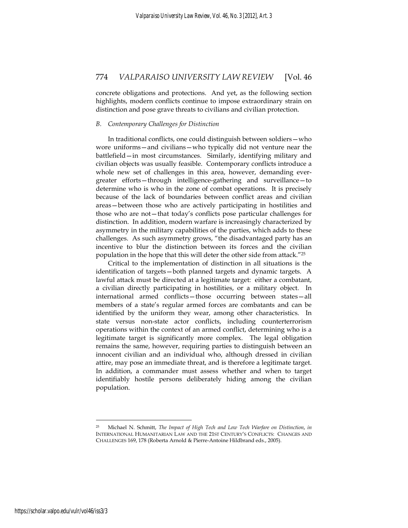concrete obligations and protections. And yet, as the following section highlights, modern conflicts continue to impose extraordinary strain on distinction and pose grave threats to civilians and civilian protection.

#### *B. Contemporary Challenges for Distinction*

In traditional conflicts, one could distinguish between soldiers—who wore uniforms—and civilians—who typically did not venture near the battlefield—in most circumstances. Similarly, identifying military and civilian objects was usually feasible. Contemporary conflicts introduce a whole new set of challenges in this area, however, demanding evergreater efforts—through intelligence-gathering and surveillance—to determine who is who in the zone of combat operations. It is precisely because of the lack of boundaries between conflict areas and civilian areas—between those who are actively participating in hostilities and those who are not—that today's conflicts pose particular challenges for distinction. In addition, modern warfare is increasingly characterized by asymmetry in the military capabilities of the parties, which adds to these challenges. As such asymmetry grows, "the disadvantaged party has an incentive to blur the distinction between its forces and the civilian population in the hope that this will deter the other side from attack."25

Critical to the implementation of distinction in all situations is the identification of targets—both planned targets and dynamic targets. A lawful attack must be directed at a legitimate target: either a combatant, a civilian directly participating in hostilities, or a military object. In international armed conflicts—those occurring between states—all members of a state's regular armed forces are combatants and can be identified by the uniform they wear, among other characteristics. In state versus non-state actor conflicts, including counterterrorism operations within the context of an armed conflict, determining who is a legitimate target is significantly more complex. The legal obligation remains the same, however, requiring parties to distinguish between an innocent civilian and an individual who, although dressed in civilian attire, may pose an immediate threat, and is therefore a legitimate target. In addition, a commander must assess whether and when to target identifiably hostile persons deliberately hiding among the civilian population.

<sup>25</sup> Michael N. Schmitt, *The Impact of High Tech and Low Tech Warfare on Distinction*, *in* INTERNATIONAL HUMANITARIAN LAW AND THE 21ST CENTURY'S CONFLICTS: CHANGES AND CHALLENGES 169, 178 (Roberta Arnold & Pierre-Antoine Hildbrand eds., 2005).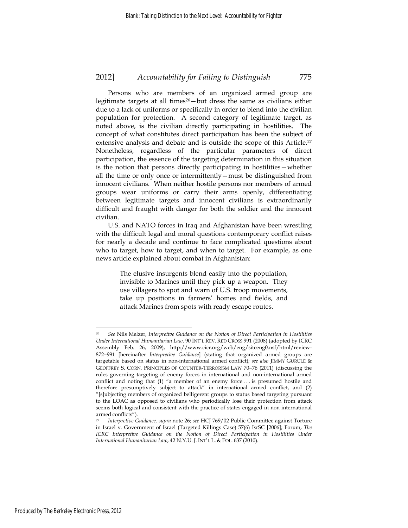Persons who are members of an organized armed group are legitimate targets at all times<sup>26</sup>-but dress the same as civilians either due to a lack of uniforms or specifically in order to blend into the civilian population for protection. A second category of legitimate target, as noted above, is the civilian directly participating in hostilities. The concept of what constitutes direct participation has been the subject of extensive analysis and debate and is outside the scope of this Article.<sup>27</sup> Nonetheless, regardless of the particular parameters of direct participation, the essence of the targeting determination in this situation is the notion that persons directly participating in hostilities—whether all the time or only once or intermittently—must be distinguished from innocent civilians. When neither hostile persons nor members of armed groups wear uniforms or carry their arms openly, differentiating between legitimate targets and innocent civilians is extraordinarily difficult and fraught with danger for both the soldier and the innocent civilian.

U.S. and NATO forces in Iraq and Afghanistan have been wrestling with the difficult legal and moral questions contemporary conflict raises for nearly a decade and continue to face complicated questions about who to target, how to target, and when to target. For example, as one news article explained about combat in Afghanistan:

> The elusive insurgents blend easily into the population, invisible to Marines until they pick up a weapon. They use villagers to spot and warn of U.S. troop movements, take up positions in farmers' homes and fields, and attack Marines from spots with ready escape routes.

<sup>26</sup> *See* Nils Melzer, *Interpretive Guidance on the Notion of Direct Participation in Hostilities Under International Humanitarian Law*, 90 INT'L REV. RED CROSS 991 (2008) (adopted by ICRC Assembly Feb. 26, 2009), http://www.cicr.org/web/eng/siteeng0.nsf/html/review-872−991 [hereinafter *Interpretive Guidance*] (stating that organized armed groups are targetable based on status in non-international armed conflict); *see also* JIMMY GURULÉ & GEOFFREY S. CORN, PRINCIPLES OF COUNTER-TERRORISM LAW 70−76 (2011) (discussing the rules governing targeting of enemy forces in international and non-international armed conflict and noting that (1) "a member of an enemy force . . . is presumed hostile and therefore presumptively subject to attack" in international armed conflict, and (2) "[s]ubjecting members of organized belligerent groups to status based targeting pursuant to the LOAC as opposed to civilians who periodically lose their protection from attack seems both logical and consistent with the practice of states engaged in non-international armed conflicts").

<sup>27</sup> *Interpretive Guidance*, *supra* note 26; *see* HCJ 769/02 Public Committee against Torture in Israel v. Government of Israel (Targeted Killings Case) 57(6) IsrSC [2006]; Forum, *The ICRC Interpretive Guidance on the Notion of Direct Participation in Hostilities Under International Humanitarian Law*, 42 N.Y.U. J. INT'L L. & POL. 637 (2010).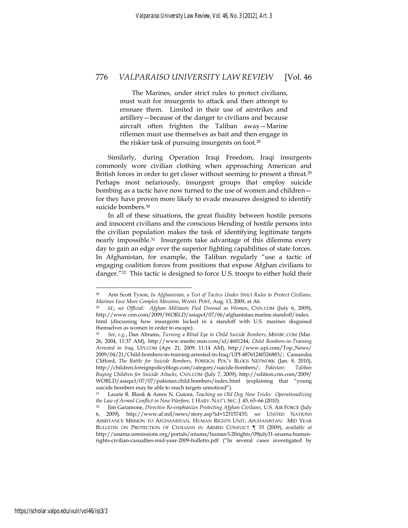The Marines, under strict rules to protect civilians, must wait for insurgents to attack and then attempt to ensnare them. Limited in their use of airstrikes and artillery—because of the danger to civilians and because aircraft often frighten the Taliban away—Marine riflemen must use themselves as bait and then engage in the riskier task of pursuing insurgents on foot.28

Similarly, during Operation Iraqi Freedom, Iraqi insurgents commonly wore civilian clothing when approaching American and British forces in order to get closer without seeming to present a threat.<sup>29</sup> Perhaps most nefariously, insurgent groups that employ suicide bombing as a tactic have now turned to the use of women and children for they have proven more likely to evade measures designed to identify suicide bombers.<sup>30</sup>

In all of these situations, the great fluidity between hostile persons and innocent civilians and the conscious blending of hostile persons into the civilian population makes the task of identifying legitimate targets nearly impossible.31 Insurgents take advantage of this dilemma every day to gain an edge over the superior fighting capabilities of state forces. In Afghanistan, for example, the Taliban regularly "use a tactic of engaging coalition forces from positions that expose Afghan civilians to danger."32 This tactic is designed to force U.S. troops to either hold their

<sup>28</sup> Ann Scott Tyson, *In Afghanistan, a Test of Tactics Under Strict Rules to Protect Civilians,* 

*Marines Face More Complex Missions*, WASH. POST, Aug. 13, 2009, at A6. 29 *Id*.; *see Official: Afghan Militants Fled Dressed as Women*, CNN.COM (July 6, 2009), http://www.cnn.com/2009/WORLD/asiapcf/07/06/afghanistan.marine.standoff/index. html (discussing how insurgents locked in a standoff with U.S. marines disguised themselves as women in order to escape).

<sup>30</sup> *See*, *e.g.*, Dan Abrams, *Turning a Blind Eye to Child Suicide Bombers*, MSNBC.COM (Mar. 26, 2004, 11:37 AM), http://www.msnbc.msn.com/id/4601244; *Child Bombers-in-Training Arrested in Iraq*, UPI.COM (Apr. 21, 2009, 11:14 AM), http://www.upi.com/Top\_News/ 2009/04/21/Child-bombers-in-training-arrested-in-Iraq/UPI-48761240326883/; Cassandra Clifford, *The Battle for Suicide Bombers*, FOREIGN POL'Y BLOGS NETWORK (Jan. 8, 2010), http://children.foreignpolicyblogs.com/category/suicide-bombers/; *Pakistan: Taliban Buying Children for Suicide Attacks*, CNN.COM (July 7, 2009), http://edition.cnn.com/2009/ WORLD/asiapcf/07/07/pakistan.child.bombers/index.html (explaining that "young suicide bombers may be able to reach targets unnoticed").

<sup>31</sup> Laurie R. Blank & Amos N. Guiora, *Teaching an Old Dog New Tricks: Operationalizing the Law of Armed Conflict in New Warfare*, 1 HARV. NAT'L SEC. J. 45, 65–66 (2010). 32 Jim Garamone, *Directive Re-emphasizes Protecting Afghan Civilians*, U.S. AIR FORCE (July

<sup>6, 2009),</sup> http://www.af.mil/news/story.asp?id=123157435; *see* UNITED NATIONS ASSISTANCE MISSION TO AFGHANISTAN, HUMAN RIGHTS UNIT, AFGHANISTAN: MID YEAR BULLETIN ON PROTECTION OF CIVILIANS IN ARMED CONFLICT ¶ 35 (2009), *available at*  http://unama.unmissions.org/portals/unama/human%20rights/09july31-unama-humanrights-civilian-casualties-mid-year-2009-bulletin.pdf ("In several cases investigated by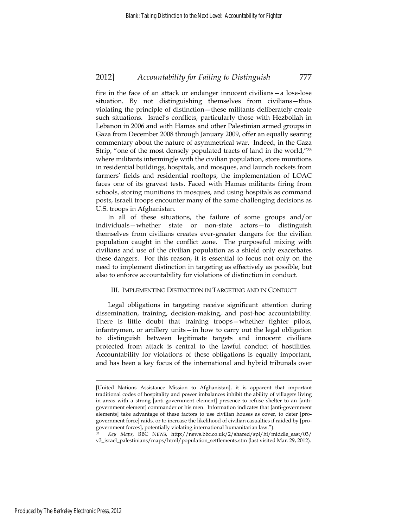fire in the face of an attack or endanger innocent civilians—a lose-lose situation. By not distinguishing themselves from civilians—thus violating the principle of distinction—these militants deliberately create such situations. Israel's conflicts, particularly those with Hezbollah in Lebanon in 2006 and with Hamas and other Palestinian armed groups in Gaza from December 2008 through January 2009, offer an equally searing commentary about the nature of asymmetrical war. Indeed, in the Gaza Strip, "one of the most densely populated tracts of land in the world,"33 where militants intermingle with the civilian population, store munitions in residential buildings, hospitals, and mosques, and launch rockets from farmers' fields and residential rooftops, the implementation of LOAC faces one of its gravest tests. Faced with Hamas militants firing from schools, storing munitions in mosques, and using hospitals as command posts, Israeli troops encounter many of the same challenging decisions as U.S. troops in Afghanistan.

In all of these situations, the failure of some groups and/or individuals—whether state or non-state actors—to distinguish themselves from civilians creates ever-greater dangers for the civilian population caught in the conflict zone. The purposeful mixing with civilians and use of the civilian population as a shield only exacerbates these dangers. For this reason, it is essential to focus not only on the need to implement distinction in targeting as effectively as possible, but also to enforce accountability for violations of distinction in conduct.

#### III. IMPLEMENTING DISTINCTION IN TARGETING AND IN CONDUCT

Legal obligations in targeting receive significant attention during dissemination, training, decision-making, and post-hoc accountability. There is little doubt that training troops—whether fighter pilots, infantrymen, or artillery units—in how to carry out the legal obligation to distinguish between legitimate targets and innocent civilians protected from attack is central to the lawful conduct of hostilities. Accountability for violations of these obligations is equally important, and has been a key focus of the international and hybrid tribunals over

<sup>[</sup>United Nations Assistance Mission to Afghanistan], it is apparent that important traditional codes of hospitality and power imbalances inhibit the ability of villagers living in areas with a strong [anti-government element] presence to refuse shelter to an [antigovernment element] commander or his men. Information indicates that [anti-government elements] take advantage of these factors to use civilian houses as cover, to deter [progovernment force] raids, or to increase the likelihood of civilian casualties if raided by [progovernment forces], potentially violating international humanitarian law.").

<sup>33</sup> *Key Maps*, BBC NEWS, http://news.bbc.co.uk/2/shared/spl/hi/middle\_east/03/ v3\_israel\_palestinians/maps/html/population\_settlements.stm (last visited Mar. 29, 2012).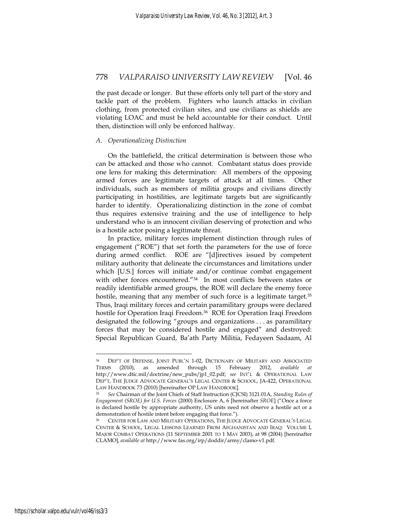the past decade or longer. But these efforts only tell part of the story and tackle part of the problem. Fighters who launch attacks in civilian clothing, from protected civilian sites, and use civilians as shields are violating LOAC and must be held accountable for their conduct. Until then, distinction will only be enforced halfway.

#### *A. Operationalizing Distinction*

On the battlefield, the critical determination is between those who can be attacked and those who cannot. Combatant status does provide one lens for making this determination: All members of the opposing armed forces are legitimate targets of attack at all times. Other individuals, such as members of militia groups and civilians directly participating in hostilities, are legitimate targets but are significantly harder to identify. Operationalizing distinction in the zone of combat thus requires extensive training and the use of intelligence to help understand who is an innocent civilian deserving of protection and who is a hostile actor posing a legitimate threat.

In practice, military forces implement distinction through rules of engagement ("ROE") that set forth the parameters for the use of force during armed conflict. ROE are "[d]irectives issued by competent military authority that delineate the circumstances and limitations under which [U.S.] forces will initiate and/or continue combat engagement with other forces encountered."34 In most conflicts between states or readily identifiable armed groups, the ROE will declare the enemy force hostile, meaning that any member of such force is a legitimate target.<sup>35</sup> Thus, Iraqi military forces and certain paramilitary groups were declared hostile for Operation Iraqi Freedom.<sup>36</sup> ROE for Operation Iraqi Freedom designated the following "groups and organizations . . . as paramilitary forces that may be considered hostile and engaged" and destroyed: Special Republican Guard, Ba'ath Party Militia, Fedayeen Sadaam, Al

<sup>34</sup> DEP'T OF DEFENSE, JOINT PUBL'N 1-02, DICTIONARY OF MILITARY AND ASSOCIATED TERMS (2010), as amended through 15 February 2012, *available at*  http://www.dtic.mil/doctrine/new\_pubs/jp1\_02.pdf; *see* INT'L & OPERATIONAL LAW DEP'T, THE JUDGE ADVOCATE GENERAL'S LEGAL CENTER & SCHOOL, JA-422, OPERATIONAL LAW HANDBOOK 73 (2010) [hereinafter OP LAW HANDBOOK]. 35 *See* Chairman of the Joint Chiefs of Staff Instruction (CJCSI) 3121.01A, *Standing Rules of* 

*Engagement (SROE) for U.S. Forces* (2000) Enclosure A, 6 [hereinafter *SROE*] ("Once a force is declared hostile by appropriate authority, US units need not observe a hostile act or a demonstration of hostile intent before engaging that force.").

<sup>36</sup> CENTER FOR LAW AND MILITARY OPERATIONS, THE JUDGE ADVOCATE GENERAL'S LEGAL CENTER & SCHOOL, LEGAL LESSONS LEARNED FROM AFGHANISTAN AND IRAQ: VOLUME I, MAJOR COMBAT OPERATIONS (11 SEPTEMBER 2001 TO 1 MAY 2003), at 98 (2004) [hereinafter CLAMO], *available at* http://www.fas.org/irp/doddir/army/clamo-v1.pdf.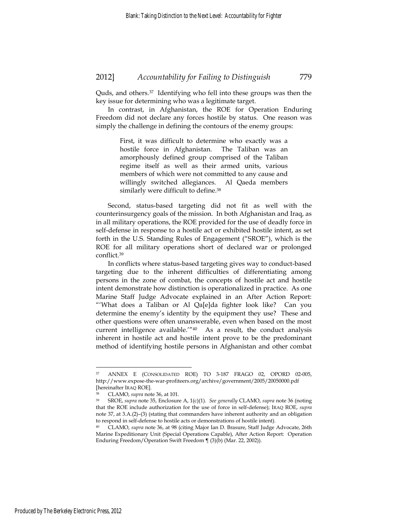Quds, and others.37 Identifying who fell into these groups was then the key issue for determining who was a legitimate target.

In contrast, in Afghanistan, the ROE for Operation Enduring Freedom did not declare any forces hostile by status. One reason was simply the challenge in defining the contours of the enemy groups:

> First, it was difficult to determine who exactly was a hostile force in Afghanistan. The Taliban was an amorphously defined group comprised of the Taliban regime itself as well as their armed units, various members of which were not committed to any cause and willingly switched allegiances. Al Qaeda members similarly were difficult to define.38

Second, status-based targeting did not fit as well with the counterinsurgency goals of the mission. In both Afghanistan and Iraq, as in all military operations, the ROE provided for the use of deadly force in self-defense in response to a hostile act or exhibited hostile intent, as set forth in the U.S. Standing Rules of Engagement ("SROE"), which is the ROE for all military operations short of declared war or prolonged conflict.39

In conflicts where status-based targeting gives way to conduct-based targeting due to the inherent difficulties of differentiating among persons in the zone of combat, the concepts of hostile act and hostile intent demonstrate how distinction is operationalized in practice. As one Marine Staff Judge Advocate explained in an After Action Report: "'What does a Taliban or Al Qa[e]da fighter look like? Can you determine the enemy's identity by the equipment they use? These and other questions were often unanswerable, even when based on the most current intelligence available.'"40 As a result, the conduct analysis inherent in hostile act and hostile intent prove to be the predominant method of identifying hostile persons in Afghanistan and other combat

<sup>37</sup> ANNEX E (CONSOLIDATED ROE) TO 3-187 FRAGO 02, OPORD 02-005, http://www.expose-the-war-profiteers.org/archive/government/2005/20050000.pdf

<sup>[</sup>hereinafter IRAQ ROE]. 38 CLAMO, *supra* note 36, at 101. 39 SROE, *supra* note 35, Enclosure A, 1(c)(1). *See generally* CLAMO, *supra* note 36 (noting that the ROE include authorization for the use of force in self-defense); IRAQ ROE, *supra* note 37, at 3.A.(2)–(3) (stating that commanders have inherent authority and an obligation to respond in self-defense to hostile acts or demonstrations of hostile intent).

<sup>40</sup> CLAMO, *supra* note 36, at 98 (citing Major Ian D. Brasure, Staff Judge Advocate, 26th Marine Expeditionary Unit (Special Operations Capable), After Action Report: Operation Enduring Freedom/Operation Swift Freedom ¶ (3)(b) (Mar. 22, 2002)).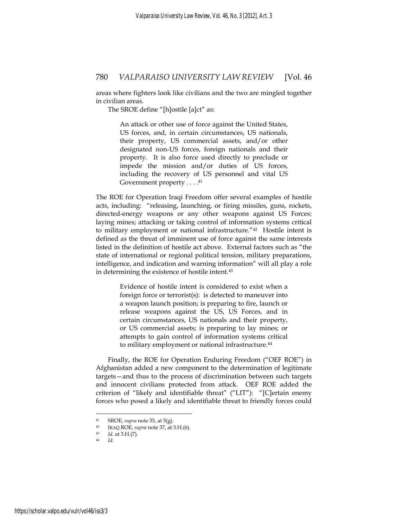areas where fighters look like civilians and the two are mingled together in civilian areas.

The SROE define "[h]ostile [a]ct" as:

An attack or other use of force against the United States, US forces, and, in certain circumstances, US nationals, their property, US commercial assets, and/or other designated non-US forces, foreign nationals and their property. It is also force used directly to preclude or impede the mission and/or duties of US forces, including the recovery of US personnel and vital US Government property . . . . 41

The ROE for Operation Iraqi Freedom offer several examples of hostile acts, including: "releasing, launching, or firing missiles, guns, rockets, directed-energy weapons or any other weapons against US Forces; laying mines; attacking or taking control of information systems critical to military employment or national infrastructure."42 Hostile intent is defined as the threat of imminent use of force against the same interests listed in the definition of hostile act above. External factors such as "the state of international or regional political tension, military preparations, intelligence, and indication and warning information" will all play a role in determining the existence of hostile intent.43

> Evidence of hostile intent is considered to exist when a foreign force or terrorist(s): is detected to maneuver into a weapon launch position; is preparing to fire, launch or release weapons against the US, US Forces, and in certain circumstances, US nationals and their property, or US commercial assets; is preparing to lay mines; or attempts to gain control of information systems critical to military employment or national infrastructure.<sup>44</sup>

Finally, the ROE for Operation Enduring Freedom ("OEF ROE") in Afghanistan added a new component to the determination of legitimate targets—and thus to the process of discrimination between such targets and innocent civilians protected from attack. OEF ROE added the criterion of "likely and identifiable threat" ("LIT"): "[C]ertain enemy forces who posed a likely and identifiable threat to friendly forces could

<sup>41</sup> SROE, *supra* note 35, at 5(g). 42 IRAQ ROE, *supra* note 37, at 3.H.(6). 43 *Id*. at 3.H.(7). 44 *Id*.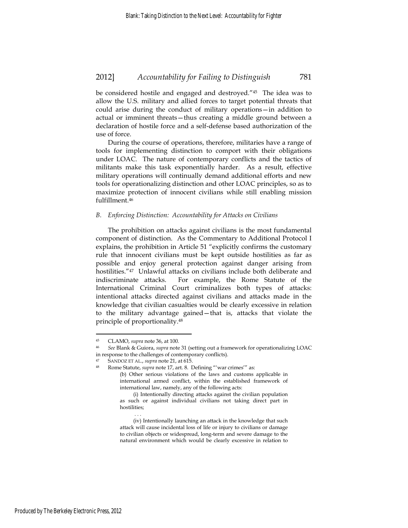be considered hostile and engaged and destroyed."45 The idea was to allow the U.S. military and allied forces to target potential threats that could arise during the conduct of military operations—in addition to actual or imminent threats—thus creating a middle ground between a declaration of hostile force and a self-defense based authorization of the use of force.

During the course of operations, therefore, militaries have a range of tools for implementing distinction to comport with their obligations under LOAC. The nature of contemporary conflicts and the tactics of militants make this task exponentially harder. As a result, effective military operations will continually demand additional efforts and new tools for operationalizing distinction and other LOAC principles, so as to maximize protection of innocent civilians while still enabling mission fulfillment.46

#### *B. Enforcing Distinction: Accountability for Attacks on Civilians*

The prohibition on attacks against civilians is the most fundamental component of distinction. As the Commentary to Additional Protocol I explains, the prohibition in Article 51 "explicitly confirms the customary rule that innocent civilians must be kept outside hostilities as far as possible and enjoy general protection against danger arising from hostilities."47 Unlawful attacks on civilians include both deliberate and indiscriminate attacks. For example, the Rome Statute of the International Criminal Court criminalizes both types of attacks: intentional attacks directed against civilians and attacks made in the knowledge that civilian casualties would be clearly excessive in relation to the military advantage gained—that is, attacks that violate the principle of proportionality.48

. . .

<u>.</u>

<sup>45</sup> CLAMO, *supra* note 36, at 100. 46 *See* Blank & Guiora, *supra* note 31 (setting out a framework for operationalizing LOAC in response to the challenges of contemporary conflicts).

<sup>47</sup> SANDOZ ET AL., *supra* note 21, at 615. 48 Rome Statute, *supra* note 17, art. 8. Defining "'war crimes'" as:

<sup>(</sup>b) Other serious violations of the laws and customs applicable in international armed conflict, within the established framework of international law, namely, any of the following acts:

 <sup>(</sup>i) Intentionally directing attacks against the civilian population as such or against individual civilians not taking direct part in hostilities;

 <sup>(</sup>iv) Intentionally launching an attack in the knowledge that such attack will cause incidental loss of life or injury to civilians or damage to civilian objects or widespread, long-term and severe damage to the natural environment which would be clearly excessive in relation to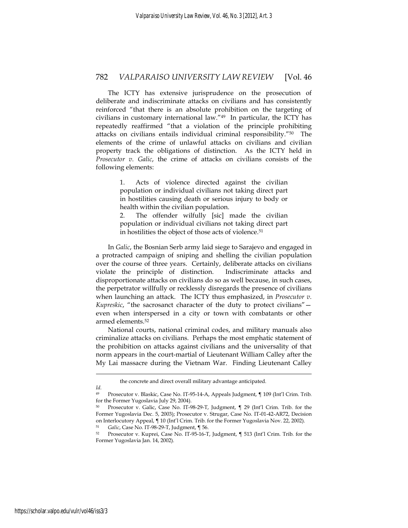The ICTY has extensive jurisprudence on the prosecution of deliberate and indiscriminate attacks on civilians and has consistently reinforced "that there is an absolute prohibition on the targeting of civilians in customary international law."49 In particular, the ICTY has repeatedly reaffirmed "that a violation of the principle prohibiting attacks on civilians entails individual criminal responsibility."50 The elements of the crime of unlawful attacks on civilians and civilian property track the obligations of distinction. As the ICTY held in *Prosecutor v. Galic*, the crime of attacks on civilians consists of the following elements:

> 1. Acts of violence directed against the civilian population or individual civilians not taking direct part in hostilities causing death or serious injury to body or health within the civilian population.

> 2. The offender wilfully [sic] made the civilian population or individual civilians not taking direct part in hostilities the object of those acts of violence.51

In *Galic*, the Bosnian Serb army laid siege to Sarajevo and engaged in a protracted campaign of sniping and shelling the civilian population over the course of three years. Certainly, deliberate attacks on civilians violate the principle of distinction. Indiscriminate attacks and disproportionate attacks on civilians do so as well because, in such cases, the perpetrator willfully or recklessly disregards the presence of civilians when launching an attack. The ICTY thus emphasized, in *Prosecutor v. Kupreskic*, "the sacrosanct character of the duty to protect civilians" even when interspersed in a city or town with combatants or other armed elements.52

National courts, national criminal codes, and military manuals also criminalize attacks on civilians. Perhaps the most emphatic statement of the prohibition on attacks against civilians and the universality of that norm appears in the court-martial of Lieutenant William Calley after the My Lai massacre during the Vietnam War. Finding Lieutenant Calley

<u>.</u>

the concrete and direct overall military advantage anticipated.

*Id.*

Prosecutor v. Blaskic, Case No. IT-95-14-A, Appeals Judgment, ¶ 109 (Int'l Crim. Trib. for the Former Yugoslavia July 29, 2004).

<sup>50</sup> Prosecutor v. Galic, Case No. IT-98-29-T, Judgment, ¶ 29 (Int'l Crim. Trib. for the Former Yugoslavia Dec. 5, 2003); Prosecutor v. Strugar, Case No. IT-01-42-AR72, Decision on Interlocutory Appeal, ¶ 10 (Int'l Crim. Trib. for the Former Yugoslavia Nov. 22, 2002).

<sup>51</sup> *Galic*, Case No. IT-98-29-T, Judgment, ¶ 56. 52 Prosecutor v. Kuprei, Case No. IT-95-16-T, Judgment, ¶ 513 (Int'l Crim. Trib. for the Former Yugoslavia Jan. 14, 2002).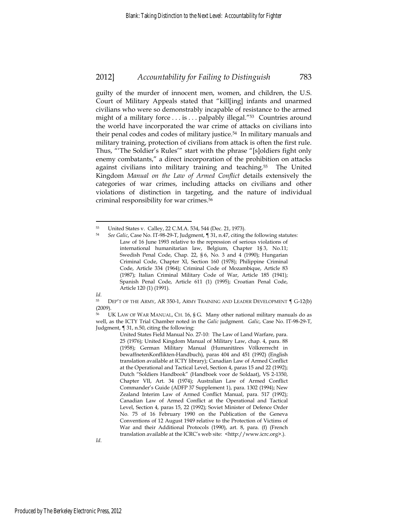guilty of the murder of innocent men, women, and children, the U.S. Court of Military Appeals stated that "kill[ing] infants and unarmed civilians who were so demonstrably incapable of resistance to the armed might of a military force . . . is . . . palpably illegal."53 Countries around the world have incorporated the war crime of attacks on civilians into their penal codes and codes of military justice.<sup>54</sup> In military manuals and military training, protection of civilians from attack is often the first rule. Thus, "'The Soldier's Rules'" start with the phrase "[s]oldiers fight only enemy combatants," a direct incorporation of the prohibition on attacks against civilians into military training and teaching.55 The United Kingdom *Manual on the Law of Armed Conflict* details extensively the categories of war crimes, including attacks on civilians and other violations of distinction in targeting, and the nature of individual criminal responsibility for war crimes.<sup>56</sup>

*Id*.

<sup>53</sup> United States v. Calley, 22 C.M.A. 534, 544 (Dec. 21, 1973).<br>54 See Calis Caso No. IT 98.29 T. Judgment 1.31, p.47 citing.

<sup>54</sup> *See Galic*, Case No. IT-98-29-T, Judgment, ¶ 31, n.47, citing the following statutes: Law of 16 June 1993 relative to the repression of serious violations of international humanitarian law, Belgium, Chapter 1§ 3, No.11; Swedish Penal Code, Chap. 22, § 6, No. 3 and 4 (1990); Hungarian Criminal Code, Chapter XI, Section 160 (1978); Philippine Criminal Code, Article 334 (1964); Criminal Code of Mozambique, Article 83 (1987); Italian Criminal Military Code of War, Article 185 (1941); Spanish Penal Code, Article 611 (1) (1995); Croatian Penal Code, Article 120 (1) (1991).

<sup>55</sup> DEP'T OF THE ARMY, AR 350-1, ARMY TRAINING AND LEADER DEVELOPMENT ¶ G-12(b) (2009).

<sup>56</sup> UK LAW OF WAR MANUAL, CH. 16, § G. Many other national military manuals do as well, as the ICTY Trial Chamber noted in the *Galic* judgment. *Galic*, Case No. IT-98-29-T, Judgment, ¶ 31, n.50, citing the following:

United States Field Manual No. 27-10: The Law of Land Warfare, para. 25 (1976); United Kingdom Manual of Military Law, chap. 4, para. 88 (1958); German Military Manual (Humanitäres Völkrerrecht in bewaffnetenKonflikten-Handbuch), paras 404 and 451 (1992) (English translation available at ICTY library); Canadian Law of Armed Conflict at the Operational and Tactical Level, Section 4, paras 15 and 22 (1992); Dutch "Soldiers Handbook" (Handboek voor de Soldaat), VS 2-1350, Chapter VII, Art. 34 (1974); Australian Law of Armed Conflict Commander's Guide (ADFP 37 Supplement 1), para. 1302 (1994); New Zealand Interim Law of Armed Conflict Manual, para. 517 (1992); Canadian Law of Armed Conflict at the Operational and Tactical Level, Section 4, paras 15, 22 (1992); Soviet Minister of Defence Order No. 75 of 16 February 1990 on the Publication of the Geneva Conventions of 12 August 1949 relative to the Protection of Victims of War and their Additional Protocols (1990), art. 8, para. (f) (French translation available at the ICRC's web site: <http://www.icrc.org>.).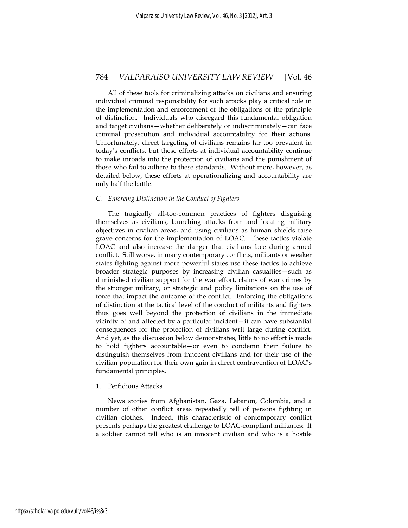All of these tools for criminalizing attacks on civilians and ensuring individual criminal responsibility for such attacks play a critical role in the implementation and enforcement of the obligations of the principle of distinction. Individuals who disregard this fundamental obligation and target civilians—whether deliberately or indiscriminately—can face criminal prosecution and individual accountability for their actions. Unfortunately, direct targeting of civilians remains far too prevalent in today's conflicts, but these efforts at individual accountability continue to make inroads into the protection of civilians and the punishment of those who fail to adhere to these standards. Without more, however, as detailed below, these efforts at operationalizing and accountability are only half the battle.

#### *C. Enforcing Distinction in the Conduct of Fighters*

The tragically all-too-common practices of fighters disguising themselves as civilians, launching attacks from and locating military objectives in civilian areas, and using civilians as human shields raise grave concerns for the implementation of LOAC. These tactics violate LOAC and also increase the danger that civilians face during armed conflict. Still worse, in many contemporary conflicts, militants or weaker states fighting against more powerful states use these tactics to achieve broader strategic purposes by increasing civilian casualties—such as diminished civilian support for the war effort, claims of war crimes by the stronger military, or strategic and policy limitations on the use of force that impact the outcome of the conflict. Enforcing the obligations of distinction at the tactical level of the conduct of militants and fighters thus goes well beyond the protection of civilians in the immediate vicinity of and affected by a particular incident—it can have substantial consequences for the protection of civilians writ large during conflict. And yet, as the discussion below demonstrates, little to no effort is made to hold fighters accountable—or even to condemn their failure to distinguish themselves from innocent civilians and for their use of the civilian population for their own gain in direct contravention of LOAC's fundamental principles.

#### 1. Perfidious Attacks

News stories from Afghanistan, Gaza, Lebanon, Colombia, and a number of other conflict areas repeatedly tell of persons fighting in civilian clothes. Indeed, this characteristic of contemporary conflict presents perhaps the greatest challenge to LOAC-compliant militaries: If a soldier cannot tell who is an innocent civilian and who is a hostile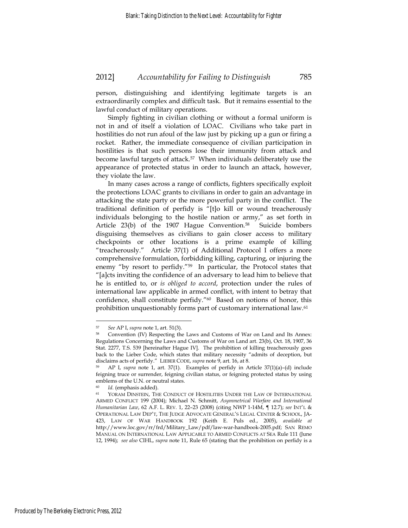person, distinguishing and identifying legitimate targets is an extraordinarily complex and difficult task. But it remains essential to the lawful conduct of military operations.

Simply fighting in civilian clothing or without a formal uniform is not in and of itself a violation of LOAC. Civilians who take part in hostilities do not run afoul of the law just by picking up a gun or firing a rocket. Rather, the immediate consequence of civilian participation in hostilities is that such persons lose their immunity from attack and become lawful targets of attack.57 When individuals deliberately use the appearance of protected status in order to launch an attack, however, they violate the law.

In many cases across a range of conflicts, fighters specifically exploit the protections LOAC grants to civilians in order to gain an advantage in attacking the state party or the more powerful party in the conflict. The traditional definition of perfidy is "[t]o kill or wound treacherously individuals belonging to the hostile nation or army," as set forth in Article 23(b) of the 1907 Hague Convention.<sup>58</sup> Suicide bombers disguising themselves as civilians to gain closer access to military checkpoints or other locations is a prime example of killing "treacherously." Article 37(1) of Additional Protocol I offers a more comprehensive formulation, forbidding killing, capturing, or injuring the enemy "by resort to perfidy."<sup>59</sup> In particular, the Protocol states that "[a]cts inviting the confidence of an adversary to lead him to believe that he is entitled to, or *is obliged to accord*, protection under the rules of international law applicable in armed conflict, with intent to betray that confidence, shall constitute perfidy."60 Based on notions of honor, this prohibition unquestionably forms part of customary international law.61

<u>.</u>

<sup>57</sup> *See* AP I, *supra* note 1, art. 51(3). 58 Convention (IV) Respecting the Laws and Customs of War on Land and Its Annex: Regulations Concerning the Laws and Customs of War on Land art. 23(b), Oct. 18, 1907, 36 Stat. 2277, T.S. 539 [hereinafter Hague IV]. The prohibition of killing treacherously goes back to the Lieber Code, which states that military necessity "admits of deception, but disclaims acts of perfidy." LIEBER CODE, *supra* note 9, art. 16, at 8.<br><sup>59</sup> AP I, *supra* note 1, art. 37(1). Examples of perfidy in Article 37(1)(a)–(d) include

feigning truce or surrender, feigning civilian status, or feigning protected status by using emblems of the U.N. or neutral states.

<sup>&</sup>lt;sup>60</sup> *Id.* (emphasis added).<br><sup>61</sup> YORAM DINSTEIN, THE CONDUCT OF HOSTILITIES UNDER THE LAW OF INTERNATIONAL ARMED CONFLICT 199 (2004); Michael N. Schmitt, *Asymmetrical Warfare and International Humanitarian Law*, 62 A.F. L. REV*.* 1, 22–23 (2008) (citing NWP 1-14M, ¶ 12.7); *see* INT'L & OPERATIONAL LAW DEP'T, THE JUDGE ADVOCATE GENERAL'S LEGAL CENTER & SCHOOL, JA-423, LAW OF WAR HANDBOOK 192 (Keith E. Puls ed., 2005), *available at*  http://www.loc.gov/rr/frd/Military\_Law/pdf/law-war-handbook-2005.pdf; SAN REMO MANUAL ON INTERNATIONAL LAW APPLICABLE TO ARMED CONFLICTS AT SEA Rule 111 (June 12, 1994); *see also* CIHL, *supra* note 11, Rule 65 (stating that the prohibition on perfidy is a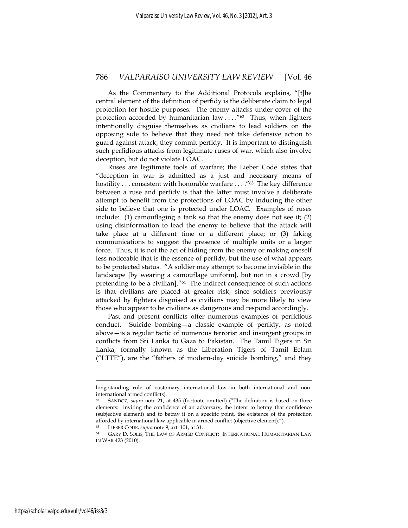As the Commentary to the Additional Protocols explains, "[t]he central element of the definition of perfidy is the deliberate claim to legal protection for hostile purposes. The enemy attacks under cover of the protection accorded by humanitarian law . . . ."62 Thus, when fighters intentionally disguise themselves as civilians to lead soldiers on the opposing side to believe that they need not take defensive action to guard against attack, they commit perfidy. It is important to distinguish such perfidious attacks from legitimate ruses of war, which also involve deception, but do not violate LOAC.

Ruses are legitimate tools of warfare; the Lieber Code states that "deception in war is admitted as a just and necessary means of hostility ... consistent with honorable warfare ...."<sup>63</sup> The key difference between a ruse and perfidy is that the latter must involve a deliberate attempt to benefit from the protections of LOAC by inducing the other side to believe that one is protected under LOAC. Examples of ruses include: (1) camouflaging a tank so that the enemy does not see it; (2) using disinformation to lead the enemy to believe that the attack will take place at a different time or a different place; or (3) faking communications to suggest the presence of multiple units or a larger force. Thus, it is not the act of hiding from the enemy or making oneself less noticeable that is the essence of perfidy, but the use of what appears to be protected status. "A soldier may attempt to become invisible in the landscape [by wearing a camouflage uniform], but not in a crowd [by pretending to be a civilian]."64 The indirect consequence of such actions is that civilians are placed at greater risk, since soldiers previously attacked by fighters disguised as civilians may be more likely to view those who appear to be civilians as dangerous and respond accordingly.

Past and present conflicts offer numerous examples of perfidious conduct. Suicide bombing—a classic example of perfidy, as noted above—is a regular tactic of numerous terrorist and insurgent groups in conflicts from Sri Lanka to Gaza to Pakistan. The Tamil Tigers in Sri Lanka, formally known as the Liberation Tigers of Tamil Eelam ("LTTE"), are the "fathers of modern-day suicide bombing," and they

long-standing rule of customary international law in both international and noninternational armed conflicts).

<sup>62</sup> SANDOZ, *supra* note 21, at 435 (footnote omitted) ("The definition is based on three elements: inviting the confidence of an adversary, the intent to betray that confidence (subjective element) and to betray it on a specific point, the existence of the protection afforded by international law applicable in armed conflict (objective element).").

<sup>&</sup>lt;sup>63</sup> LIEBER CODE, *supra* note 9, art. 101, at 31.<br><sup>64</sup> GARY D. SOLIS, THE LAW OF ARMED CONFLICT: INTERNATIONAL HUMANITARIAN LAW IN WAR 423 (2010).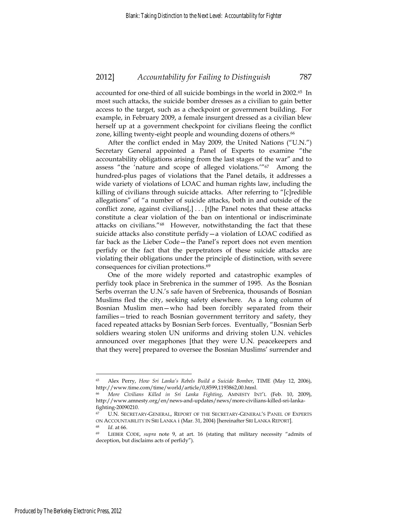accounted for one-third of all suicide bombings in the world in 2002.65 In most such attacks, the suicide bomber dresses as a civilian to gain better access to the target, such as a checkpoint or government building. For example, in February 2009, a female insurgent dressed as a civilian blew herself up at a government checkpoint for civilians fleeing the conflict zone, killing twenty-eight people and wounding dozens of others.<sup>66</sup>

After the conflict ended in May 2009, the United Nations ("U.N.") Secretary General appointed a Panel of Experts to examine "the accountability obligations arising from the last stages of the war" and to assess "the 'nature and scope of alleged violations.'"67 Among the hundred-plus pages of violations that the Panel details, it addresses a wide variety of violations of LOAC and human rights law, including the killing of civilians through suicide attacks. After referring to "[c]redible allegations" of "a number of suicide attacks, both in and outside of the conflict zone, against civilians  $[,$  ... [t] he Panel notes that these attacks constitute a clear violation of the ban on intentional or indiscriminate attacks on civilians."68 However, notwithstanding the fact that these suicide attacks also constitute perfidy—a violation of LOAC codified as far back as the Lieber Code—the Panel's report does not even mention perfidy or the fact that the perpetrators of these suicide attacks are violating their obligations under the principle of distinction, with severe consequences for civilian protections.69

One of the more widely reported and catastrophic examples of perfidy took place in Srebrenica in the summer of 1995. As the Bosnian Serbs overran the U.N.'s safe haven of Srebrenica, thousands of Bosnian Muslims fled the city, seeking safety elsewhere. As a long column of Bosnian Muslim men—who had been forcibly separated from their families—tried to reach Bosnian government territory and safety, they faced repeated attacks by Bosnian Serb forces. Eventually, "Bosnian Serb soldiers wearing stolen UN uniforms and driving stolen U.N. vehicles announced over megaphones [that they were U.N. peacekeepers and that they were] prepared to oversee the Bosnian Muslims' surrender and

<sup>65</sup> Alex Perry, *How Sri Lanka's Rebels Build a Suicide Bomber*, TIME (May 12, 2006), http://www.time.com/time/world/article/0,8599,1193862,00.html.

<sup>66</sup> *More Civilians Killed in Sri Lanka Fighting*, AMNESTY INT'L (Feb. 10, 2009), http://www.amnesty.org/en/news-and-updates/news/more-civilians-killed-sri-lankafighting-20090210.

U.N. SECRETARY-GENERAL, REPORT OF THE SECRETARY-GENERAL'S PANEL OF EXPERTS ON ACCOUNTABILITY IN SRI LANKA i (Mar. 31, 2004) [hereinafter SRI LANKA REPORT]. 68 *Id*. at 66. 69 LIEBER CODE, *supra* note 9, at art. 16 (stating that military necessity "admits of

deception, but disclaims acts of perfidy").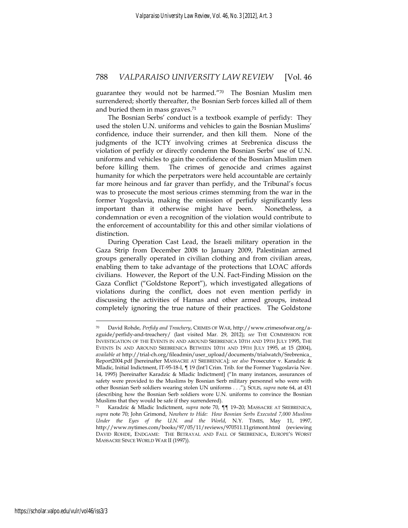guarantee they would not be harmed."70 The Bosnian Muslim men surrendered; shortly thereafter, the Bosnian Serb forces killed all of them and buried them in mass graves.<sup>71</sup>

The Bosnian Serbs' conduct is a textbook example of perfidy: They used the stolen U.N. uniforms and vehicles to gain the Bosnian Muslims' confidence, induce their surrender, and then kill them. None of the judgments of the ICTY involving crimes at Srebrenica discuss the violation of perfidy or directly condemn the Bosnian Serbs' use of U.N. uniforms and vehicles to gain the confidence of the Bosnian Muslim men before killing them. The crimes of genocide and crimes against humanity for which the perpetrators were held accountable are certainly far more heinous and far graver than perfidy, and the Tribunal's focus was to prosecute the most serious crimes stemming from the war in the former Yugoslavia, making the omission of perfidy significantly less important than it otherwise might have been. Nonetheless, a condemnation or even a recognition of the violation would contribute to the enforcement of accountability for this and other similar violations of distinction.

During Operation Cast Lead, the Israeli military operation in the Gaza Strip from December 2008 to January 2009, Palestinian armed groups generally operated in civilian clothing and from civilian areas, enabling them to take advantage of the protections that LOAC affords civilians. However, the Report of the U.N. Fact-Finding Mission on the Gaza Conflict ("Goldstone Report"), which investigated allegations of violations during the conflict, does not even mention perfidy in discussing the activities of Hamas and other armed groups, instead completely ignoring the true nature of their practices. The Goldstone

<u>.</u>

<sup>70</sup> David Rohde, *Perfidy and Treachery*, CRIMES OF WAR, http://www.crimesofwar.org/azguide/perfidy-and-treachery/ (last visited Mar. 29, 2012); *see* THE COMMISSION FOR INVESTIGATION OF THE EVENTS IN AND AROUND SREBRENICA 10TH AND 19TH JULY 1995, THE EVENTS IN AND AROUND SREBRENICA BETWEEN 10TH AND 19TH JULY 1995, at 15 (2004), *available at* http://trial-ch.org/fileadmin/user\_upload/documents/trialwatch/Srebrenica\_ Report2004.pdf [hereinafter MASSACRE AT SREBRENICA]; *see also* Prosecutor v. Karadzic & Mladic, Initial Indictment, IT-95-18-I, ¶ 19 (Int'l Crim. Trib. for the Former Yugoslavia Nov. 14, 1995) [hereinafter Karadzic & Mladic Indictment] ("In many instances, assurances of safety were provided to the Muslims by Bosnian Serb military personnel who were with other Bosnian Serb soldiers wearing stolen UN uniforms . . ."); SOLIS, *supra* note 64, at 431 (describing how the Bosnian Serb soldiers wore U.N. uniforms to convince the Bosnian Muslims that they would be safe if they surrendered).

<sup>71</sup> Karadzic & Mladic Indictment, *supra* note 70, ¶¶ 19–20; MASSACRE AT SREBRENICA, *supra* note 70; John Grimond, *Nowhere to Hide: How Bosnian Serbs Executed 7,000 Muslims Under the Eyes of the U.N. and the World*, N.Y. TIMES, May 11, 1997, http://www.nytimes.com/books/97/05/11/reviews/970511.11grimont.html (reviewing DAVID ROHDE, ENDGAME: THE BETRAYAL AND FALL OF SREBRENICA, EUROPE'S WORST MASSACRE SINCE WORLD WAR II (1997)).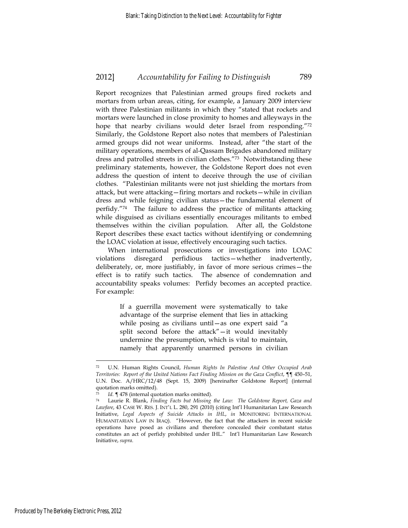Report recognizes that Palestinian armed groups fired rockets and mortars from urban areas, citing, for example, a January 2009 interview with three Palestinian militants in which they "stated that rockets and mortars were launched in close proximity to homes and alleyways in the hope that nearby civilians would deter Israel from responding."<sup>72</sup> Similarly, the Goldstone Report also notes that members of Palestinian armed groups did not wear uniforms. Instead, after "the start of the military operations, members of al-Qassam Brigades abandoned military dress and patrolled streets in civilian clothes."73 Notwithstanding these preliminary statements, however, the Goldstone Report does not even address the question of intent to deceive through the use of civilian clothes. "Palestinian militants were not just shielding the mortars from attack, but were attacking—firing mortars and rockets—while in civilian dress and while feigning civilian status—the fundamental element of perfidy."74 The failure to address the practice of militants attacking while disguised as civilians essentially encourages militants to embed themselves within the civilian population. After all, the Goldstone Report describes these exact tactics without identifying or condemning the LOAC violation at issue, effectively encouraging such tactics.

When international prosecutions or investigations into LOAC violations disregard perfidious tactics—whether inadvertently, deliberately, or, more justifiably, in favor of more serious crimes—the effect is to ratify such tactics. The absence of condemnation and accountability speaks volumes: Perfidy becomes an accepted practice. For example:

> If a guerrilla movement were systematically to take advantage of the surprise element that lies in attacking while posing as civilians until—as one expert said "a split second before the attack"—it would inevitably undermine the presumption, which is vital to maintain, namely that apparently unarmed persons in civilian

<sup>72</sup> U.N. Human Rights Council, *Human Rights In Palestine And Other Occupied Arab Territories: Report of the United Nations Fact Finding Mission on the Gaza Conflict*, ¶¶ 450–51, U.N. Doc. A/HRC/12/48 (Sept. 15, 2009) [hereinafter Goldstone Report] (internal quotation marks omitted).

<sup>73</sup> *Id.* ¶ 478 (internal quotation marks omitted). 74 Laurie R. Blank, *Finding Facts but Missing the Law: The Goldstone Report, Gaza and Lawfare*, 43 CASE W. RES. J. INT'L L. 280, 291 (2010) (citing Int'l Humanitarian Law Research Initiative, *Legal Aspects of Suicide Attacks in IHL*, *in* MONITORING INTERNATIONAL HUMANITARIAN LAW IN IRAQ). "However, the fact that the attackers in recent suicide operations have posed as civilians and therefore concealed their combatant status constitutes an act of perfidy prohibited under IHL." Int'l Humanitarian Law Research Initiative, *supra*.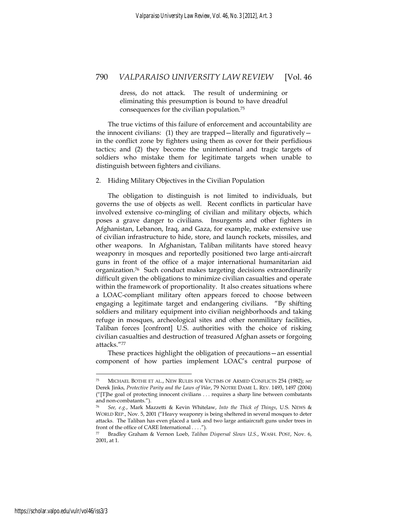dress, do not attack. The result of undermining or eliminating this presumption is bound to have dreadful consequences for the civilian population.75

The true victims of this failure of enforcement and accountability are the innocent civilians: (1) they are trapped—literally and figuratively in the conflict zone by fighters using them as cover for their perfidious tactics; and (2) they become the unintentional and tragic targets of soldiers who mistake them for legitimate targets when unable to distinguish between fighters and civilians.

#### 2. Hiding Military Objectives in the Civilian Population

The obligation to distinguish is not limited to individuals, but governs the use of objects as well. Recent conflicts in particular have involved extensive co-mingling of civilian and military objects, which poses a grave danger to civilians. Insurgents and other fighters in Afghanistan, Lebanon, Iraq, and Gaza, for example, make extensive use of civilian infrastructure to hide, store, and launch rockets, missiles, and other weapons. In Afghanistan, Taliban militants have stored heavy weaponry in mosques and reportedly positioned two large anti-aircraft guns in front of the office of a major international humanitarian aid organization.76 Such conduct makes targeting decisions extraordinarily difficult given the obligations to minimize civilian casualties and operate within the framework of proportionality. It also creates situations where a LOAC-compliant military often appears forced to choose between engaging a legitimate target and endangering civilians. "By shifting soldiers and military equipment into civilian neighborhoods and taking refuge in mosques, archeological sites and other nonmilitary facilities, Taliban forces [confront] U.S. authorities with the choice of risking civilian casualties and destruction of treasured Afghan assets or forgoing attacks."77

These practices highlight the obligation of precautions—an essential component of how parties implement LOAC's central purpose of

<sup>75</sup> MICHAEL BOTHE ET AL., NEW RULES FOR VICTIMS OF ARMED CONFLICTS 254 (1982); *see*  Derek Jinks, *Protective Parity and the Laws of War*, 79 NOTRE DAME L. REV. 1493, 1497 (2004) ("[T]he goal of protecting innocent civilians . . . requires a sharp line between combatants and non-combatants.").

<sup>76</sup> *See, e.g.*, Mark Mazzetti & Kevin Whitelaw, *Into the Thick of Things*, U.S. NEWS & WORLD REP., Nov. 5, 2001 ("Heavy weaponry is being sheltered in several mosques to deter attacks. The Taliban has even placed a tank and two large antiaircraft guns under trees in front of the office of CARE International . . . .").

<sup>77</sup> Bradley Graham & Vernon Loeb, *Taliban Dispersal Slows U.S.*, WASH. POST, Nov. 6, 2001, at 1.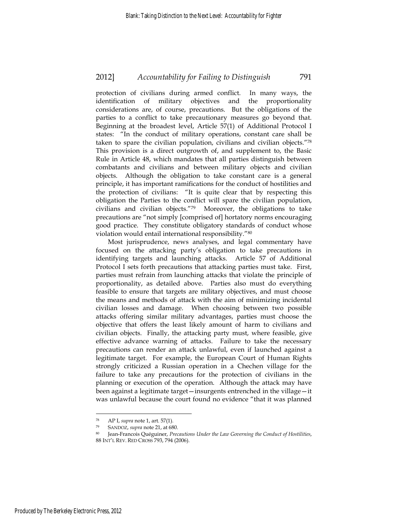protection of civilians during armed conflict. In many ways, the identification of military objectives and the proportionality considerations are, of course, precautions. But the obligations of the parties to a conflict to take precautionary measures go beyond that. Beginning at the broadest level, Article 57(1) of Additional Protocol I states: "In the conduct of military operations, constant care shall be taken to spare the civilian population, civilians and civilian objects."78 This provision is a direct outgrowth of, and supplement to, the Basic Rule in Article 48, which mandates that all parties distinguish between combatants and civilians and between military objects and civilian objects. Although the obligation to take constant care is a general principle, it has important ramifications for the conduct of hostilities and the protection of civilians: "It is quite clear that by respecting this obligation the Parties to the conflict will spare the civilian population, civilians and civilian objects."79 Moreover, the obligations to take precautions are "not simply [comprised of] hortatory norms encouraging good practice. They constitute obligatory standards of conduct whose violation would entail international responsibility."80

Most jurisprudence, news analyses, and legal commentary have focused on the attacking party's obligation to take precautions in identifying targets and launching attacks. Article 57 of Additional Protocol I sets forth precautions that attacking parties must take. First, parties must refrain from launching attacks that violate the principle of proportionality, as detailed above. Parties also must do everything feasible to ensure that targets are military objectives, and must choose the means and methods of attack with the aim of minimizing incidental civilian losses and damage. When choosing between two possible attacks offering similar military advantages, parties must choose the objective that offers the least likely amount of harm to civilians and civilian objects. Finally, the attacking party must, where feasible, give effective advance warning of attacks. Failure to take the necessary precautions can render an attack unlawful, even if launched against a legitimate target. For example, the European Court of Human Rights strongly criticized a Russian operation in a Chechen village for the failure to take any precautions for the protection of civilians in the planning or execution of the operation. Although the attack may have been against a legitimate target—insurgents entrenched in the village—it was unlawful because the court found no evidence "that it was planned

<sup>78</sup> AP I, *supra* note 1, art. 57(1). 79 SANDOZ, *supra* note 21, at 680. 80 Jean-Francois Quéguiner, *Precautions Under the Law Governing the Conduct of Hostilities*, 88 INT'L REV. RED CROSS 793, 794 (2006).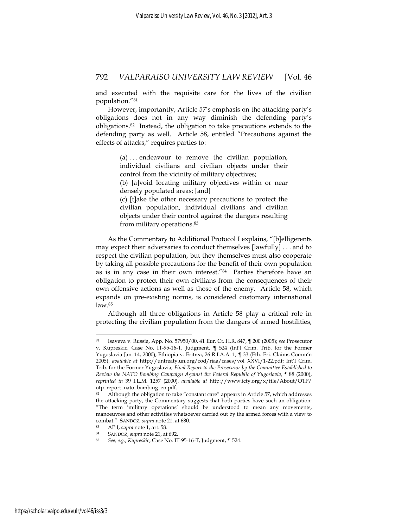and executed with the requisite care for the lives of the civilian population."81

However, importantly, Article 57's emphasis on the attacking party's obligations does not in any way diminish the defending party's obligations.82 Instead, the obligation to take precautions extends to the defending party as well. Article 58, entitled "Precautions against the effects of attacks," requires parties to:

> (a) . . . endeavour to remove the civilian population, individual civilians and civilian objects under their control from the vicinity of military objectives;

(b) [a]void locating military objectives within or near densely populated areas; [and]

(c) [t]ake the other necessary precautions to protect the civilian population, individual civilians and civilian objects under their control against the dangers resulting from military operations.83

As the Commentary to Additional Protocol I explains, "[b]elligerents may expect their adversaries to conduct themselves [lawfully] . . . and to respect the civilian population, but they themselves must also cooperate by taking all possible precautions for the benefit of their own population as is in any case in their own interest."84 Parties therefore have an obligation to protect their own civilians from the consequences of their own offensive actions as well as those of the enemy. Article 58, which expands on pre-existing norms, is considered customary international law.85

Although all three obligations in Article 58 play a critical role in protecting the civilian population from the dangers of armed hostilities,

<u>.</u>

<sup>81</sup> Isayeva v. Russia, App. No. 57950/00, 41 Eur. Ct. H.R. 847, ¶ 200 (2005); *see* Prosecutor

v. Kupreskic, Case No. IT-95-16-T, Judgment, ¶ 524 (Int'l Crim. Trib. for the Former Yugoslavia Jan. 14, 2000); Ethiopia v. Eritrea, 26 R.I.A.A. 1, ¶ 33 (Eth.-Eri. Claims Comm'n 2005), *available at* http://untreaty.un.org/cod/riaa/cases/vol\_XXVI/1-22.pdf; Int'l Crim. Trib. for the Former Yugoslavia, *Final Report to the Prosecutor by the Committee Established to Review the NATO Bombing Campaign Against the Federal Republic of Yugoslavia*, ¶ 88 (2000), *reprinted in* 39 I.L.M. 1257 (2000), *available at* http://www.icty.org/x/file/About/OTP/ otp\_report\_nato\_bombing\_en.pdf.

<sup>82</sup> Although the obligation to take "constant care" appears in Article 57, which addresses the attacking party, the Commentary suggests that both parties have such an obligation: "The term 'military operations' should be understood to mean any movements, manoeuvres and other activities whatsoever carried out by the armed forces with a view to combat." SANDOZ, *supra* note 21, at 680.<br>
83 AP I, *supra* note 1, art. 58.<br>
84 SANDOZ, *supra* note 21, at 692.<br>
85 *See, e.g., Kupreskic*, Case No. IT-95-16-T, Judgment, ¶ 524.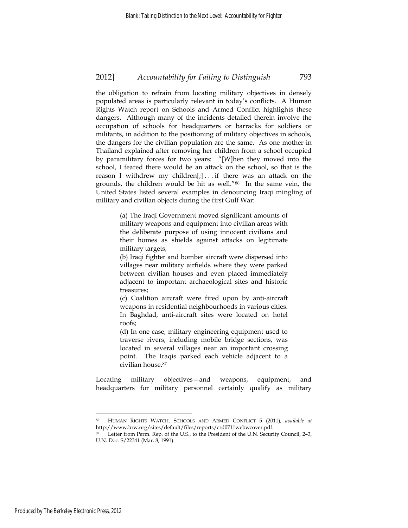the obligation to refrain from locating military objectives in densely populated areas is particularly relevant in today's conflicts. A Human Rights Watch report on Schools and Armed Conflict highlights these dangers. Although many of the incidents detailed therein involve the occupation of schools for headquarters or barracks for soldiers or militants, in addition to the positioning of military objectives in schools, the dangers for the civilian population are the same. As one mother in Thailand explained after removing her children from a school occupied by paramilitary forces for two years: "[W]hen they moved into the school, I feared there would be an attack on the school, so that is the reason I withdrew my children $[j]$ ... if there was an attack on the grounds, the children would be hit as well."86 In the same vein, the United States listed several examples in denouncing Iraqi mingling of military and civilian objects during the first Gulf War:

> (a) The Iraqi Government moved significant amounts of military weapons and equipment into civilian areas with the deliberate purpose of using innocent civilians and their homes as shields against attacks on legitimate military targets;

> (b) Iraqi fighter and bomber aircraft were dispersed into villages near military airfields where they were parked between civilian houses and even placed immediately adjacent to important archaeological sites and historic treasures;

> (c) Coalition aircraft were fired upon by anti-aircraft weapons in residential neighbourhoods in various cities. In Baghdad, anti-aircraft sites were located on hotel roofs;

> (d) In one case, military engineering equipment used to traverse rivers, including mobile bridge sections, was located in several villages near an important crossing point. The Iraqis parked each vehicle adjacent to a civilian house.87

Locating military objectives—and weapons, equipment, and headquarters for military personnel certainly qualify as military

<sup>86</sup> HUMAN RIGHTS WATCH, SCHOOLS AND ARMED CONFLICT 5 (2011), *available at* http://www.hrw.org/sites/default/files/reports/crd0711webwcover.pdf. 87 Letter from Perm. Rep. of the U.S., to the President of the U.N. Security Council, 2–3,

U.N. Doc. S/22341 (Mar. 8, 1991).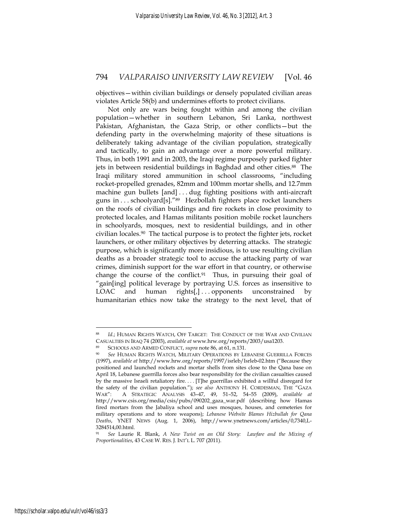objectives—within civilian buildings or densely populated civilian areas violates Article 58(b) and undermines efforts to protect civilians.

Not only are wars being fought within and among the civilian population—whether in southern Lebanon, Sri Lanka, northwest Pakistan, Afghanistan, the Gaza Strip, or other conflicts—but the defending party in the overwhelming majority of these situations is deliberately taking advantage of the civilian population, strategically and tactically, to gain an advantage over a more powerful military. Thus, in both 1991 and in 2003, the Iraqi regime purposely parked fighter jets in between residential buildings in Baghdad and other cities.<sup>88</sup> The Iraqi military stored ammunition in school classrooms, "including rocket-propelled grenades, 82mm and 100mm mortar shells, and 12.7mm machine gun bullets [and] . . . dug fighting positions with anti-aircraft guns in . . . schoolyard[s]."89 Hezbollah fighters place rocket launchers on the roofs of civilian buildings and fire rockets in close proximity to protected locales, and Hamas militants position mobile rocket launchers in schoolyards, mosques, next to residential buildings, and in other civilian locales.90 The tactical purpose is to protect the fighter jets, rocket launchers, or other military objectives by deterring attacks. The strategic purpose, which is significantly more insidious, is to use resulting civilian deaths as a broader strategic tool to accuse the attacking party of war crimes, diminish support for the war effort in that country, or otherwise change the course of the conflict. $91$  Thus, in pursuing their goal of "gain[ing] political leverage by portraying U.S. forces as insensitive to  $\text{LOAC}$  and human rights $[,]$ ... opponents unconstrained by humanitarian ethics now take the strategy to the next level, that of

Id.; HUMAN RIGHTS WATCH, OFF TARGET: THE CONDUCT OF THE WAR AND CIVILIAN CASUALTIES IN IRAQ 74 (2003), available at www.hrw.org/reports/2003/usa1203.<br>
SCHOOLS AND ARMED CONFLICT, supra note 86, at 61, n.131.<br>
<sup>90</sup> See HUMAN RIGHTS WATCH, MILITARY OPERATIONS BY LEBANESE GUERRILLA FORCES

<sup>(1997),</sup> *available at* http://www.hrw.org/reports/1997/isrleb/Isrleb-02.htm ("Because they positioned and launched rockets and mortar shells from sites close to the Qana base on April 18, Lebanese guerrilla forces also bear responsibility for the civilian casualties caused by the massive Israeli retaliatory fire. . . . [T]he guerrillas exhibited a willful disregard for the safety of the civilian population."); *see also* ANTHONY H. CORDESMAN, THE "GAZA WAR": A STRATEGIC ANALYSIS 43–47, 49, 51–52, 54–55 (2009), *available at* http://www.csis.org/media/csis/pubs/090202\_gaza\_war.pdf (describing how Hamas fired mortars from the Jabaliya school and uses mosques, houses, and cemeteries for military operations and to store weapons); *Lebanese Website Blames Hizbullah for Qana Deaths*, YNET NEWS (Aug. 1, 2006), http://www.ynetnews.com/articles/0,7340,L-3284514,00.html.

<sup>91</sup> *See* Laurie R. Blank, *A New Twist on an Old Story: Lawfare and the Mixing of Proportionalities*, 43 CASE W. RES. J. INT'L L. 707 (2011).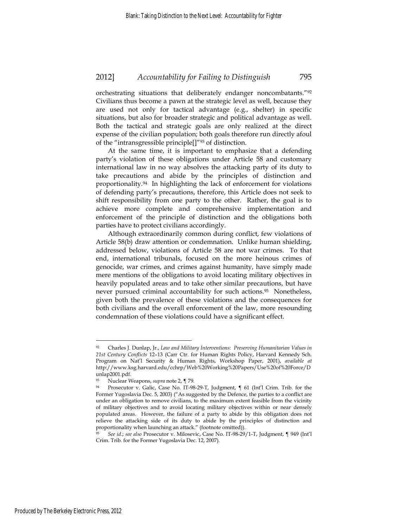orchestrating situations that deliberately endanger noncombatants."92 Civilians thus become a pawn at the strategic level as well, because they are used not only for tactical advantage (e.g., shelter) in specific situations, but also for broader strategic and political advantage as well. Both the tactical and strategic goals are only realized at the direct expense of the civilian population; both goals therefore run directly afoul of the "intransgressible principle[]"93 of distinction.

At the same time, it is important to emphasize that a defending party's violation of these obligations under Article 58 and customary international law in no way absolves the attacking party of its duty to take precautions and abide by the principles of distinction and proportionality.94 In highlighting the lack of enforcement for violations of defending party's precautions, therefore, this Article does not seek to shift responsibility from one party to the other. Rather, the goal is to achieve more complete and comprehensive implementation and enforcement of the principle of distinction and the obligations both parties have to protect civilians accordingly.

Although extraordinarily common during conflict, few violations of Article 58(b) draw attention or condemnation. Unlike human shielding, addressed below, violations of Article 58 are not war crimes. To that end, international tribunals, focused on the more heinous crimes of genocide, war crimes, and crimes against humanity, have simply made mere mentions of the obligations to avoid locating military objectives in heavily populated areas and to take other similar precautions, but have never pursued criminal accountability for such actions.95 Nonetheless, given both the prevalence of these violations and the consequences for both civilians and the overall enforcement of the law, more resounding condemnation of these violations could have a significant effect.

<sup>92</sup> Charles J. Dunlap, Jr., *Law and Military Interventions: Preserving Humanitarian Values in 21st Century Conflicts* 12–13 (Carr Ctr. for Human Rights Policy, Harvard Kennedy Sch. Program on Nat'l Security & Human Rights, Workshop Paper, 2001), *available at* http://www.ksg.harvard.edu/cchrp/Web%20Working%20Papers/Use%20of%20Force/D unlap2001.pdf.

<sup>&</sup>lt;sup>93</sup> Nuclear Weapons, *supra* note 2, ¶ 79.<br><sup>94</sup> Prosecutor v. Galic, Case No. IT-98-29-T, Judgment, ¶ 61 (Int'l Crim. Trib. for the Former Yugoslavia Dec. 5, 2003) ("As suggested by the Defence, the parties to a conflict are under an obligation to remove civilians, to the maximum extent feasible from the vicinity of military objectives and to avoid locating military objectives within or near densely populated areas. However, the failure of a party to abide by this obligation does not relieve the attacking side of its duty to abide by the principles of distinction and proportionality when launching an attack." (footnote omitted)).

<sup>95</sup> *See id*.; *see also* Prosecutor v. Milosevic, Case No. IT-98-29/1-T, Judgment, ¶ 949 (Int'l Crim. Trib. for the Former Yugoslavia Dec. 12, 2007).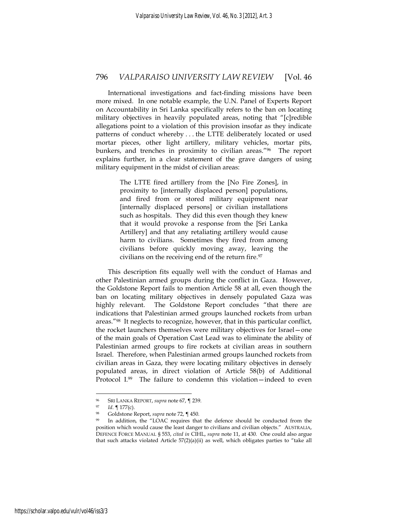International investigations and fact-finding missions have been more mixed. In one notable example, the U.N. Panel of Experts Report on Accountability in Sri Lanka specifically refers to the ban on locating military objectives in heavily populated areas, noting that "[c]redible allegations point to a violation of this provision insofar as they indicate patterns of conduct whereby . . . the LTTE deliberately located or used mortar pieces, other light artillery, military vehicles, mortar pits, bunkers, and trenches in proximity to civilian areas."96 The report explains further, in a clear statement of the grave dangers of using military equipment in the midst of civilian areas:

> The LTTE fired artillery from the [No Fire Zones], in proximity to [internally displaced person] populations, and fired from or stored military equipment near [internally displaced persons] or civilian installations such as hospitals. They did this even though they knew that it would provoke a response from the [Sri Lanka Artillery] and that any retaliating artillery would cause harm to civilians. Sometimes they fired from among civilians before quickly moving away, leaving the civilians on the receiving end of the return fire.<sup>97</sup>

This description fits equally well with the conduct of Hamas and other Palestinian armed groups during the conflict in Gaza. However, the Goldstone Report fails to mention Article 58 at all, even though the ban on locating military objectives in densely populated Gaza was highly relevant. The Goldstone Report concludes "that there are indications that Palestinian armed groups launched rockets from urban areas."98 It neglects to recognize, however, that in this particular conflict, the rocket launchers themselves were military objectives for Israel—one of the main goals of Operation Cast Lead was to eliminate the ability of Palestinian armed groups to fire rockets at civilian areas in southern Israel. Therefore, when Palestinian armed groups launched rockets from civilian areas in Gaza, they were locating military objectives in densely populated areas, in direct violation of Article 58(b) of Additional Protocol I.99 The failure to condemn this violation—indeed to even

<sup>96</sup> SRI LANKA REPORT, *supra* note 67, ¶ 239.<br><sup>97</sup> *Id*. ¶ 177(c).<br><sup>98</sup> Goldstone Report, *supra* note 72, ¶ 450.<br><sup>99</sup> In addition, the "LOAC requires that the defence should be conducted from the position which would cause the least danger to civilians and civilian objects." AUSTRALIA, DEFENCE FORCE MANUAL § 553, *cited in* CIHL, *supra* note 11, at 430. One could also argue that such attacks violated Article  $57(2)(a)(ii)$  as well, which obligates parties to "take all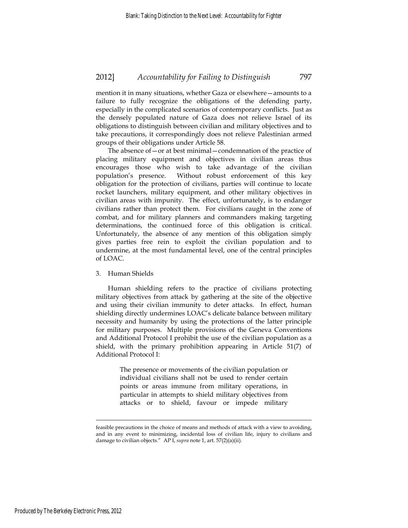mention it in many situations, whether Gaza or elsewhere—amounts to a failure to fully recognize the obligations of the defending party, especially in the complicated scenarios of contemporary conflicts. Just as the densely populated nature of Gaza does not relieve Israel of its obligations to distinguish between civilian and military objectives and to take precautions, it correspondingly does not relieve Palestinian armed groups of their obligations under Article 58.

The absence of—or at best minimal—condemnation of the practice of placing military equipment and objectives in civilian areas thus encourages those who wish to take advantage of the civilian population's presence. Without robust enforcement of this key obligation for the protection of civilians, parties will continue to locate rocket launchers, military equipment, and other military objectives in civilian areas with impunity. The effect, unfortunately, is to endanger civilians rather than protect them. For civilians caught in the zone of combat, and for military planners and commanders making targeting determinations, the continued force of this obligation is critical. Unfortunately, the absence of any mention of this obligation simply gives parties free rein to exploit the civilian population and to undermine, at the most fundamental level, one of the central principles of LOAC.

#### 3. Human Shields

Human shielding refers to the practice of civilians protecting military objectives from attack by gathering at the site of the objective and using their civilian immunity to deter attacks. In effect, human shielding directly undermines LOAC's delicate balance between military necessity and humanity by using the protections of the latter principle for military purposes. Multiple provisions of the Geneva Conventions and Additional Protocol I prohibit the use of the civilian population as a shield, with the primary prohibition appearing in Article 51(7) of Additional Protocol I:

> The presence or movements of the civilian population or individual civilians shall not be used to render certain points or areas immune from military operations, in particular in attempts to shield military objectives from attacks or to shield, favour or impede military

feasible precautions in the choice of means and methods of attack with a view to avoiding, and in any event to minimizing, incidental loss of civilian life, injury to civilians and damage to civilian objects." AP I, *supra* note 1, art. 57(2)(a)(ii).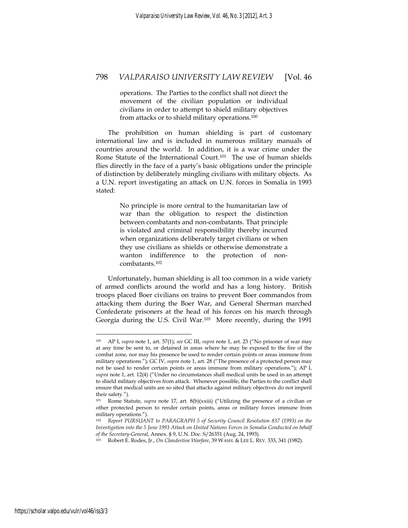operations. The Parties to the conflict shall not direct the movement of the civilian population or individual civilians in order to attempt to shield military objectives from attacks or to shield military operations.100

The prohibition on human shielding is part of customary international law and is included in numerous military manuals of countries around the world. In addition, it is a war crime under the Rome Statute of the International Court.101 The use of human shields flies directly in the face of a party's basic obligations under the principle of distinction by deliberately mingling civilians with military objects. As a U.N. report investigating an attack on U.N. forces in Somalia in 1993 stated:

> No principle is more central to the humanitarian law of war than the obligation to respect the distinction between combatants and non-combatants. That principle is violated and criminal responsibility thereby incurred when organizations deliberately target civilians or when they use civilians as shields or otherwise demonstrate a wanton indifference to the protection of noncombatants.102

Unfortunately, human shielding is all too common in a wide variety of armed conflicts around the world and has a long history. British troops placed Boer civilians on trains to prevent Boer commandos from attacking them during the Boer War, and General Sherman marched Confederate prisoners at the head of his forces on his march through Georgia during the U.S. Civil War.103 More recently, during the 1991

<sup>100</sup> AP I, *supra* note 1, art. 57(1); *see* GC III, *supra* note 1, art. 23 ("No prisoner of war may at any time be sent to, or detained in areas where he may be exposed to the fire of the combat zone, nor may his presence be used to render certain points or areas immune from military operations."); GC IV, *supra* note 1, art. 28 ("The presence of a protected person may not be used to render certain points or areas immune from military operations."); AP I, *supra* note 1, art. 12(4) ("Under no circumstances shall medical units be used in an attempt to shield military objectives from attack. Whenever possible, the Parties to the conflict shall ensure that medical units are so sited that attacks against military objectives do not imperil their safety.").

<sup>101</sup> Rome Statute, *supra* note 17, art. 8(b)(xxiii) ("Utilizing the presence of a civilian or other protected person to render certain points, areas or military forces immune from military operations.").

<sup>102</sup> *Report PURSUANT to PARAGRAPH 5 of Security Council Resolution 837 (1993) on the Investigation into the 5 June 1993 Attack on United Nations Forces in Somalia Conducted on behalf of the Secretary-General, Annex.* § 9, U.N. Doc. S/26351 (Aug. 24, 1993).<br><sup>103</sup> Robert E. Rodes, Jr., *On Clandestine Warfare*, 39 WASH. & LEE L. REV. 333, 341 (1982).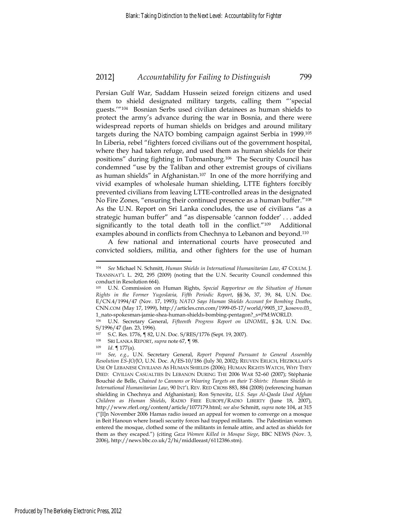Persian Gulf War, Saddam Hussein seized foreign citizens and used them to shield designated military targets, calling them "'special guests.'"104 Bosnian Serbs used civilian detainees as human shields to protect the army's advance during the war in Bosnia, and there were widespread reports of human shields on bridges and around military targets during the NATO bombing campaign against Serbia in 1999.105 In Liberia, rebel "fighters forced civilians out of the government hospital, where they had taken refuge, and used them as human shields for their positions" during fighting in Tubmanburg.106 The Security Council has condemned "use by the Taliban and other extremist groups of civilians as human shields" in Afghanistan.107 In one of the more horrifying and vivid examples of wholesale human shielding, LTTE fighters forcibly prevented civilians from leaving LTTE-controlled areas in the designated No Fire Zones, "ensuring their continued presence as a human buffer."108 As the U.N. Report on Sri Lanka concludes, the use of civilians "as a strategic human buffer" and "as dispensable 'cannon fodder' . . . added significantly to the total death toll in the conflict."109 Additional examples abound in conflicts from Chechnya to Lebanon and beyond.110

A few national and international courts have prosecuted and convicted soldiers, militia, and other fighters for the use of human

<sup>104</sup> *See* Michael N. Schmitt, *Human Shields in International Humanitarian Law*, 47 COLUM. J. TRANSNAT'L L. 292, 295 (2009) (noting that the U.N. Security Council condemned this conduct in Resolution 664).

<sup>105</sup> U.N. Commission on Human Rights, *Special Rapporteur on the Situation of Human Rights in the Former Yugoslavia, Fifth Periodic Report*, §§ 36, 37, 39, 84, U.N. Doc. E/CN.4/1994/47 (Nov. 17, 1993); *NATO Says Human Shields Account for Bombing Deaths*, CNN.COM (May 17, 1999), http://articles.cnn.com/1999-05-17/world/9905\_17\_kosovo.03\_ 1\_nato-spokesman-jamie-shea-human-shields-bombing-pentagon?\_s=PM:WORLD.

<sup>106</sup> U.N. Secretary General, *Fifteenth Progress Report on UNOMIL*, § 24, U.N. Doc. S/1996/47 (Jan. 23, 1996).

<sup>107</sup> S.C. Res. 1776,  $\sqrt{82}$ , U.N. Doc. S/RES/1776 (Sept. 19, 2007).

<sup>108</sup> SRI LANKA REPORT, *supra* note 67, ¶ 98. 109 *Id*. ¶ 177(a). 110 *See, e.g.*, U.N. Secretary General, *Report Prepared Pursuant to General Assembly Resolution ES-JO/JO*, U.N. Doc. A/ES-10/186 (July 30, 2002); REUVEN ERLICH, HEZBOLLAH'S USE OF LEBANESE CIVILIANS AS HUMAN SHIELDS (2006); HUMAN RIGHTS WATCH, WHY THEY DIED: CIVILIAN CASUALTIES IN LEBANON DURING THE 2006 WAR 52–60 (2007); Stéphanie Bouchié de Belle, *Chained to Cannons or Wearing Targets on their T-Shirts: Human Shields in International Humanitarian Law*, 90 INT'L REV. RED CROSS 883, 884 (2008) (referencing human shielding in Chechnya and Afghanistan); Ron Synovitz, *U.S. Says Al-Qaeda Used Afghan Children as Human Shields*, RADIO FREE EUROPE/RADIO LIBERTY (June 18, 2007), http://www.rferl.org/content/article/1077179.html; *see also* Schmitt, *supra* note 104, at 315 ("[I]n November 2006 Hamas radio issued an appeal for women to converge on a mosque in Beit Hanoun where Israeli security forces had trapped militants. The Palestinian women entered the mosque, clothed some of the militants in female attire, and acted as shields for them as they escaped.") (citing *Gaza Women Killed in Mosque Siege*, BBC NEWS (Nov. 3, 2006), http://news.bbc.co.uk/2/hi/middleeast/6112386.stm).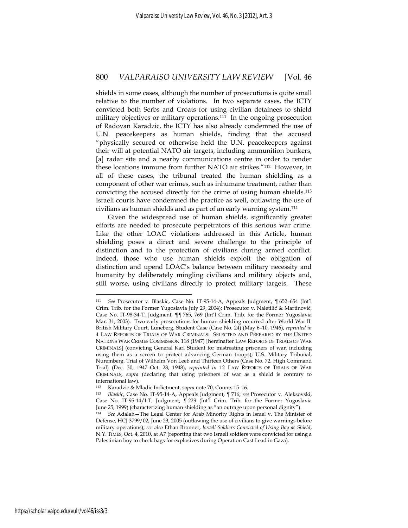shields in some cases, although the number of prosecutions is quite small relative to the number of violations. In two separate cases, the ICTY convicted both Serbs and Croats for using civilian detainees to shield military objectives or military operations.111 In the ongoing prosecution of Radovan Karadzic, the ICTY has also already condemned the use of U.N. peacekeepers as human shields, finding that the accused "physically secured or otherwise held the U.N. peacekeepers against their will at potential NATO air targets, including ammunition bunkers, [a] radar site and a nearby communications centre in order to render these locations immune from further NATO air strikes."112 However, in all of these cases, the tribunal treated the human shielding as a component of other war crimes, such as inhumane treatment, rather than convicting the accused directly for the crime of using human shields.<sup>113</sup> Israeli courts have condemned the practice as well, outlawing the use of civilians as human shields and as part of an early warning system.114

Given the widespread use of human shields, significantly greater efforts are needed to prosecute perpetrators of this serious war crime. Like the other LOAC violations addressed in this Article, human shielding poses a direct and severe challenge to the principle of distinction and to the protection of civilians during armed conflict. Indeed, those who use human shields exploit the obligation of distinction and upend LOAC's balance between military necessity and humanity by deliberately mingling civilians and military objects and, still worse, using civilians directly to protect military targets. These

<sup>111</sup> *See* Prosecutor v. Blaskic, Case No. IT-95-14-A, Appeals Judgment, ¶ 652–654 (Int'l Crim. Trib. for the Former Yugoslavia July 29, 2004); Prosecutor v. Naletilić & Martinović, Case No. IT-98-34-T, Judgment, ¶¶ 765, 769 (Int'l Crim. Trib. for the Former Yugoslavia Mar. 31, 2003). Two early prosecutions for human shielding occurred after World War II. British Military Court, Luneberg, Student Case (Case No. 24) (May 6–10, 1946), *reprinted in* 4 LAW REPORTS OF TRIALS OF WAR CRIMINALS: SELECTED AND PREPARED BY THE UNITED NATIONS WAR CRIMES COMMISSION 118 (1947) [hereinafter LAW REPORTS OF TRIALS OF WAR CRIMINALS] (convicting General Karl Student for mistreating prisoners of war, including using them as a screen to protect advancing German troops); U.S. Military Tribunal, Nuremberg, Trial of Wilhelm Von Leeb and Thirteen Others (Case No. 72, High Command Trial) (Dec. 30, 1947–Oct. 28, 1948), *reprinted in* 12 LAW REPORTS OF TRIALS OF WAR CRIMINALS, *supra* (declaring that using prisoners of war as a shield is contrary to

international law).<br><sup>112</sup> Karadzic & Mladic Indictment, *supra* note 70, Counts 15-16.

<sup>113</sup> Blaskic, Case No. IT-95-14-A, Appeals Judgment, ¶ 716; *see* Prosecutor v. Aleksovski, Case No. IT-95-14/I-T, Judgment, ¶ 229 (Int'l Crim. Trib. for the Former Yugoslavia June 25, 1999) (characterizing human shielding as "an outrage upon personal dignity").

<sup>114</sup> *See* Adalah—The Legal Center for Arab Minority Rights in Israel v. The Minister of Defense, HCJ 3799/02, June 23, 2005 (outlawing the use of civilians to give warnings before military operations); *see also* Ethan Bronner, *Israeli Soldiers Convicted of Using Boy as Shield*, N.Y. TIMES, Oct. 4, 2010, at A7 (reporting that two Israeli soldiers were convicted for using a Palestinian boy to check bags for explosives during Operation Cast Lead in Gaza).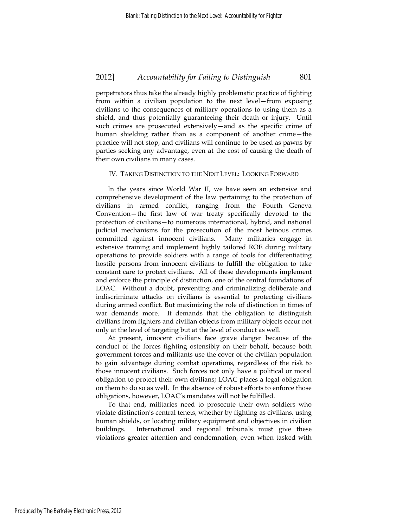perpetrators thus take the already highly problematic practice of fighting from within a civilian population to the next level—from exposing civilians to the consequences of military operations to using them as a shield, and thus potentially guaranteeing their death or injury. Until such crimes are prosecuted extensively—and as the specific crime of human shielding rather than as a component of another crime—the practice will not stop, and civilians will continue to be used as pawns by parties seeking any advantage, even at the cost of causing the death of their own civilians in many cases.

#### IV. TAKING DISTINCTION TO THE NEXT LEVEL: LOOKING FORWARD

In the years since World War II, we have seen an extensive and comprehensive development of the law pertaining to the protection of civilians in armed conflict, ranging from the Fourth Geneva Convention—the first law of war treaty specifically devoted to the protection of civilians—to numerous international, hybrid, and national judicial mechanisms for the prosecution of the most heinous crimes committed against innocent civilians. Many militaries engage in extensive training and implement highly tailored ROE during military operations to provide soldiers with a range of tools for differentiating hostile persons from innocent civilians to fulfill the obligation to take constant care to protect civilians. All of these developments implement and enforce the principle of distinction, one of the central foundations of LOAC. Without a doubt, preventing and criminalizing deliberate and indiscriminate attacks on civilians is essential to protecting civilians during armed conflict. But maximizing the role of distinction in times of war demands more. It demands that the obligation to distinguish civilians from fighters and civilian objects from military objects occur not only at the level of targeting but at the level of conduct as well.

At present, innocent civilians face grave danger because of the conduct of the forces fighting ostensibly on their behalf, because both government forces and militants use the cover of the civilian population to gain advantage during combat operations, regardless of the risk to those innocent civilians. Such forces not only have a political or moral obligation to protect their own civilians; LOAC places a legal obligation on them to do so as well. In the absence of robust efforts to enforce those obligations, however, LOAC's mandates will not be fulfilled.

To that end, militaries need to prosecute their own soldiers who violate distinction's central tenets, whether by fighting as civilians, using human shields, or locating military equipment and objectives in civilian buildings. International and regional tribunals must give these violations greater attention and condemnation, even when tasked with